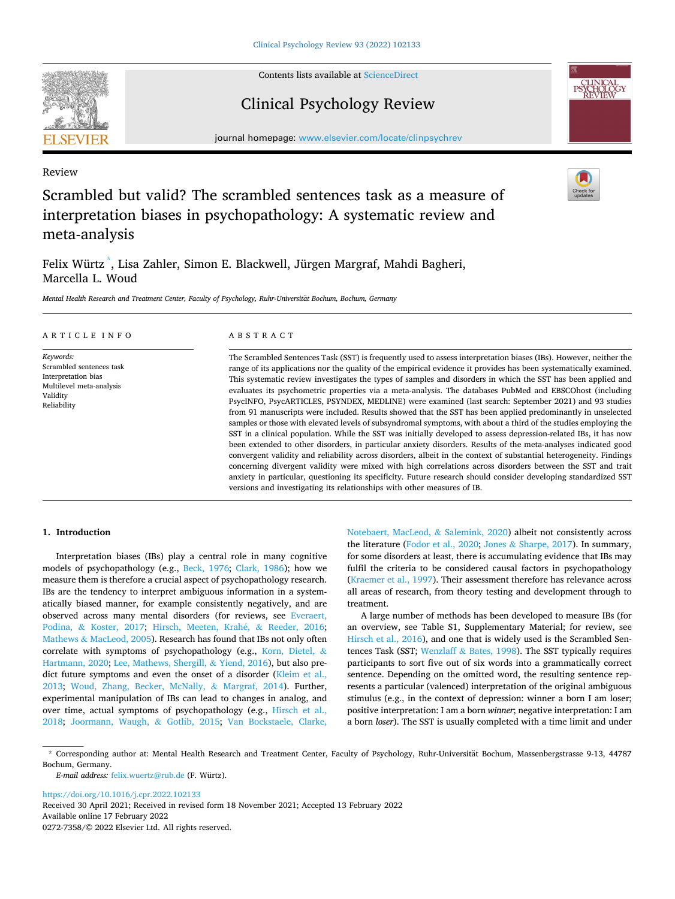

Contents lists available at [ScienceDirect](www.sciencedirect.com/science/journal/02727358)

# Clinical Psychology Review



journal homepage: [www.elsevier.com/locate/clinpsychrev](https://www.elsevier.com/locate/clinpsychrev) 

# Review

# Scrambled but valid? The scrambled sentences task as a measure of interpretation biases in psychopathology: A systematic review and meta-analysis

Felix Würtz \* , Lisa Zahler, Simon E. Blackwell, Jürgen Margraf, Mahdi Bagheri, Marcella L. Woud

*Mental Health Research and Treatment Center, Faculty of Psychology, Ruhr-Universität Bochum, Bochum, Germany* 

## ARTICLE INFO

*Keywords:*  Scrambled sentences task Interpretation bias Multilevel meta-analysis Validity Reliability

# ABSTRACT

The Scrambled Sentences Task (SST) is frequently used to assess interpretation biases (IBs). However, neither the range of its applications nor the quality of the empirical evidence it provides has been systematically examined. This systematic review investigates the types of samples and disorders in which the SST has been applied and evaluates its psychometric properties via a meta-analysis. The databases PubMed and EBSCOhost (including PsycINFO, PsycARTICLES, PSYNDEX, MEDLINE) were examined (last search: September 2021) and 93 studies from 91 manuscripts were included. Results showed that the SST has been applied predominantly in unselected samples or those with elevated levels of subsyndromal symptoms, with about a third of the studies employing the SST in a clinical population. While the SST was initially developed to assess depression-related IBs, it has now been extended to other disorders, in particular anxiety disorders. Results of the meta-analyses indicated good convergent validity and reliability across disorders, albeit in the context of substantial heterogeneity. Findings concerning divergent validity were mixed with high correlations across disorders between the SST and trait anxiety in particular, questioning its specificity. Future research should consider developing standardized SST versions and investigating its relationships with other measures of IB.

# **1. Introduction**

Interpretation biases (IBs) play a central role in many cognitive models of psychopathology (e.g., [Beck, 1976](#page-17-0); [Clark, 1986\)](#page-17-0); how we measure them is therefore a crucial aspect of psychopathology research. IBs are the tendency to interpret ambiguous information in a systematically biased manner, for example consistently negatively, and are observed across many mental disorders (for reviews, see [Everaert,](#page-17-0)  Podina, & [Koster, 2017;](#page-17-0) [Hirsch, Meeten, Krah](#page-17-0)é, & Reeder, 2016; Mathews & [MacLeod, 2005](#page-18-0)). Research has found that IBs not only often correlate with symptoms of psychopathology (e.g., [Korn, Dietel,](#page-17-0) & [Hartmann, 2020;](#page-17-0) [Lee, Mathews, Shergill,](#page-18-0) & Yiend, 2016), but also predict future symptoms and even the onset of a disorder (Kleim et al., [2013;](#page-17-0) [Woud, Zhang, Becker, McNally,](#page-18-0) & Margraf, 2014). Further, experimental manipulation of IBs can lead to changes in analog, and over time, actual symptoms of psychopathology (e.g., [Hirsch et al.,](#page-17-0)  [2018;](#page-17-0) [Joormann, Waugh,](#page-17-0) & Gotlib, 2015; [Van Bockstaele, Clarke,](#page-18-0) 

[Notebaert, MacLeod,](#page-18-0) & Salemink, 2020) albeit not consistently across the literature ([Fodor et al., 2020](#page-17-0); Jones & [Sharpe, 2017](#page-17-0)). In summary, for some disorders at least, there is accumulating evidence that IBs may fulfil the criteria to be considered causal factors in psychopathology ([Kraemer et al., 1997\)](#page-18-0). Their assessment therefore has relevance across all areas of research, from theory testing and development through to treatment.

A large number of methods has been developed to measure IBs (for an overview, see Table S1, Supplementary Material; for review, see [Hirsch et al., 2016\)](#page-17-0), and one that is widely used is the Scrambled Sentences Task (SST; Wenzlaff & [Bates, 1998\)](#page-18-0). The SST typically requires participants to sort five out of six words into a grammatically correct sentence. Depending on the omitted word, the resulting sentence represents a particular (valenced) interpretation of the original ambiguous stimulus (e.g., in the context of depression: winner a born I am loser; positive interpretation: I am a born *winner*; negative interpretation: I am a born *loser*). The SST is usually completed with a time limit and under

Available online 17 February 2022 0272-7358/© 2022 Elsevier Ltd. All rights reserved. <https://doi.org/10.1016/j.cpr.2022.102133> Received 30 April 2021; Received in revised form 18 November 2021; Accepted 13 February 2022

<sup>\*</sup> Corresponding author at: Mental Health Research and Treatment Center, Faculty of Psychology, Ruhr-Universität Bochum, Massenbergstrasse 9-13, 44787 Bochum, Germany.

*E-mail address:* [felix.wuertz@rub.de](mailto:felix.wuertz@rub.de) (F. Würtz).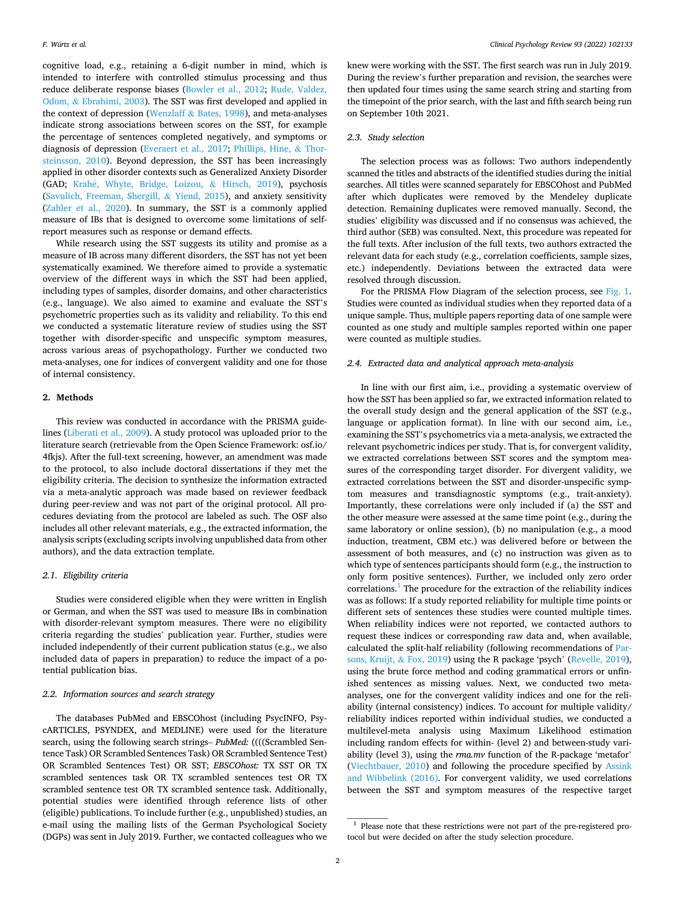cognitive load, e.g., retaining a 6-digit number in mind, which is intended to interfere with controlled stimulus processing and thus reduce deliberate response biases [\(Bowler et al., 2012;](#page-17-0) [Rude, Valdez,](#page-18-0)  Odom, & [Ebrahimi, 2003\)](#page-18-0). The SST was first developed and applied in the context of depression (Wenzlaff & [Bates, 1998\)](#page-18-0), and meta-analyses indicate strong associations between scores on the SST, for example the percentage of sentences completed negatively, and symptoms or diagnosis of depression ([Everaert et al., 2017](#page-17-0); [Phillips, Hine,](#page-18-0) & Thor[steinsson, 2010\)](#page-18-0). Beyond depression, the SST has been increasingly applied in other disorder contexts such as Generalized Anxiety Disorder (GAD; Krahé, Whyte, Bridge, Loizou, & Hirsch, 2019), psychosis ([Savulich, Freeman, Shergill,](#page-18-0) & Yiend, 2015), and anxiety sensitivity ([Zahler et al., 2020](#page-18-0)). In summary, the SST is a commonly applied measure of IBs that is designed to overcome some limitations of selfreport measures such as response or demand effects.

While research using the SST suggests its utility and promise as a measure of IB across many different disorders, the SST has not yet been systematically examined. We therefore aimed to provide a systematic overview of the different ways in which the SST had been applied, including types of samples, disorder domains, and other characteristics (e.g., language). We also aimed to examine and evaluate the SST's psychometric properties such as its validity and reliability. To this end we conducted a systematic literature review of studies using the SST together with disorder-specific and unspecific symptom measures, across various areas of psychopathology. Further we conducted two meta-analyses, one for indices of convergent validity and one for those of internal consistency.

#### **2. Methods**

This review was conducted in accordance with the PRISMA guidelines [\(Liberati et al., 2009](#page-18-0)). A study protocol was uploaded prior to the literature search (retrievable from the Open Science Framework: osf.io/ 4fkjs). After the full-text screening, however, an amendment was made to the protocol, to also include doctoral dissertations if they met the eligibility criteria. The decision to synthesize the information extracted via a meta-analytic approach was made based on reviewer feedback during peer-review and was not part of the original protocol. All procedures deviating from the protocol are labeled as such. The OSF also includes all other relevant materials, e.g., the extracted information, the analysis scripts (excluding scripts involving unpublished data from other authors), and the data extraction template.

# *2.1. Eligibility criteria*

Studies were considered eligible when they were written in English or German, and when the SST was used to measure IBs in combination with disorder-relevant symptom measures. There were no eligibility criteria regarding the studies' publication year. Further, studies were included independently of their current publication status (e.g., we also included data of papers in preparation) to reduce the impact of a potential publication bias.

# *2.2. Information sources and search strategy*

The databases PubMed and EBSCOhost (including PsycINFO, PsycARTICLES, PSYNDEX, and MEDLINE) were used for the literature search, using the following search strings– *PubMed:* ((((Scrambled Sentence Task) OR Scrambled Sentences Task) OR Scrambled Sentence Test) OR Scrambled Sentences Test) OR SST; *EBSCOhost:* TX SST OR TX scrambled sentences task OR TX scrambled sentences test OR TX scrambled sentence test OR TX scrambled sentence task. Additionally, potential studies were identified through reference lists of other (eligible) publications. To include further (e.g., unpublished) studies, an e-mail using the mailing lists of the German Psychological Society (DGPs) was sent in July 2019. Further, we contacted colleagues who we

knew were working with the SST. The first search was run in July 2019. During the review's further preparation and revision, the searches were then updated four times using the same search string and starting from the timepoint of the prior search, with the last and fifth search being run on September 10th 2021.

# *2.3. Study selection*

The selection process was as follows: Two authors independently scanned the titles and abstracts of the identified studies during the initial searches. All titles were scanned separately for EBSCOhost and PubMed after which duplicates were removed by the Mendeley duplicate detection. Remaining duplicates were removed manually. Second, the studies' eligibility was discussed and if no consensus was achieved, the third author (SEB) was consulted. Next, this procedure was repeated for the full texts. After inclusion of the full texts, two authors extracted the relevant data for each study (e.g., correlation coefficients, sample sizes, etc.) independently. Deviations between the extracted data were resolved through discussion.

For the PRISMA Flow Diagram of the selection process, see [Fig. 1](#page-2-0). Studies were counted as individual studies when they reported data of a unique sample. Thus, multiple papers reporting data of one sample were counted as one study and multiple samples reported within one paper were counted as multiple studies.

# *2.4. Extracted data and analytical approach meta-analysis*

In line with our first aim, i.e., providing a systematic overview of how the SST has been applied so far, we extracted information related to the overall study design and the general application of the SST (e.g., language or application format). In line with our second aim, i.e., examining the SST's psychometrics via a meta-analysis, we extracted the relevant psychometric indices per study. That is, for convergent validity, we extracted correlations between SST scores and the symptom measures of the corresponding target disorder. For divergent validity, we extracted correlations between the SST and disorder-unspecific symptom measures and transdiagnostic symptoms (e.g., trait-anxiety). Importantly, these correlations were only included if (a) the SST and the other measure were assessed at the same time point (e.g., during the same laboratory or online session), (b) no manipulation (e.g., a mood induction, treatment, CBM etc.) was delivered before or between the assessment of both measures, and (c) no instruction was given as to which type of sentences participants should form (e.g., the instruction to only form positive sentences). Further, we included only zero order  $correlations.$ <sup>1</sup> The procedure for the extraction of the reliability indices was as follows: If a study reported reliability for multiple time points or different sets of sentences these studies were counted multiple times. When reliability indices were not reported, we contacted authors to request these indices or corresponding raw data and, when available, calculated the split-half reliability (following recommendations of [Par](#page-18-0)[sons, Kruijt,](#page-18-0) & Fox, 2019) using the R package 'psych' [\(Revelle, 2019](#page-18-0)), using the brute force method and coding grammatical errors or unfinished sentences as missing values. Next, we conducted two metaanalyses, one for the convergent validity indices and one for the reliability (internal consistency) indices. To account for multiple validity/ reliability indices reported within individual studies, we conducted a multilevel-meta analysis using Maximum Likelihood estimation including random effects for within- (level 2) and between-study variability (level 3), using the *rma.mv* function of the R-package 'metafor' ([Viechtbauer, 2010\)](#page-18-0) and following the procedure specified by [Assink](#page-17-0)  [and Wibbelink \(2016\).](#page-17-0) For convergent validity, we used correlations between the SST and symptom measures of the respective target

<sup>1</sup> Please note that these restrictions were not part of the pre-registered protocol but were decided on after the study selection procedure.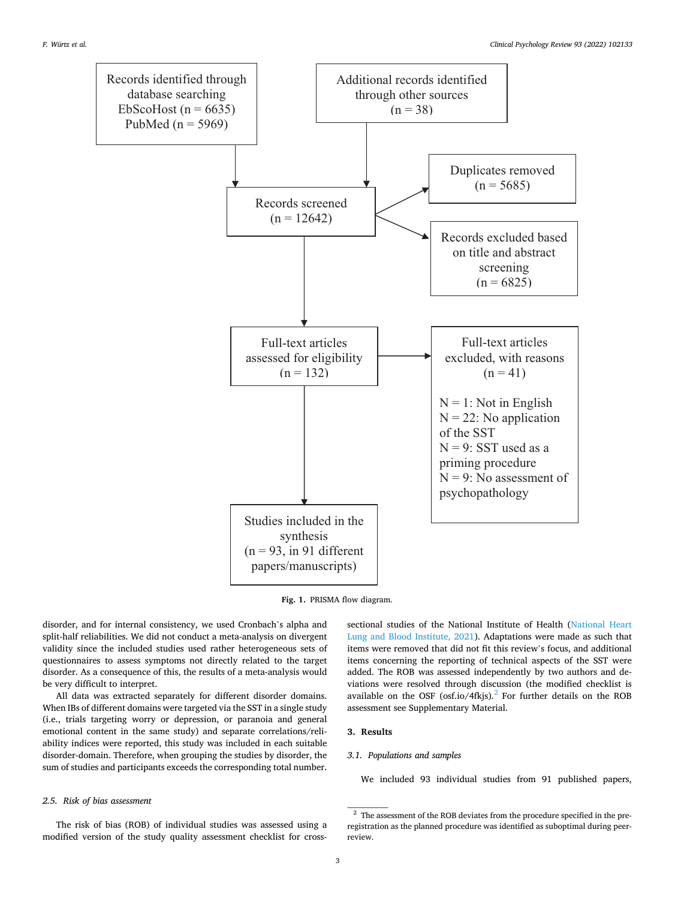<span id="page-2-0"></span>

**Fig. 1.** PRISMA flow diagram.

disorder, and for internal consistency, we used Cronbach's alpha and split-half reliabilities. We did not conduct a meta-analysis on divergent validity since the included studies used rather heterogeneous sets of questionnaires to assess symptoms not directly related to the target disorder. As a consequence of this, the results of a meta-analysis would be very difficult to interpret.

All data was extracted separately for different disorder domains. When IBs of different domains were targeted via the SST in a single study (i.e., trials targeting worry or depression, or paranoia and general emotional content in the same study) and separate correlations/reliability indices were reported, this study was included in each suitable disorder-domain. Therefore, when grouping the studies by disorder, the sum of studies and participants exceeds the corresponding total number.

# *2.5. Risk of bias assessment*

The risk of bias (ROB) of individual studies was assessed using a modified version of the study quality assessment checklist for crosssectional studies of the National Institute of Health ([National Heart](#page-18-0)  [Lung and Blood Institute, 2021\)](#page-18-0). Adaptations were made as such that items were removed that did not fit this review's focus, and additional items concerning the reporting of technical aspects of the SST were added. The ROB was assessed independently by two authors and deviations were resolved through discussion (the modified checklist is available on the OSF (osf.io/4fkjs). $^{2}$  For further details on the ROB assessment see Supplementary Material.

# **3. Results**

# *3.1. Populations and samples*

We included 93 individual studies from 91 published papers,

 $^{\rm 2}$  The assessment of the ROB deviates from the procedure specified in the preregistration as the planned procedure was identified as suboptimal during peerreview.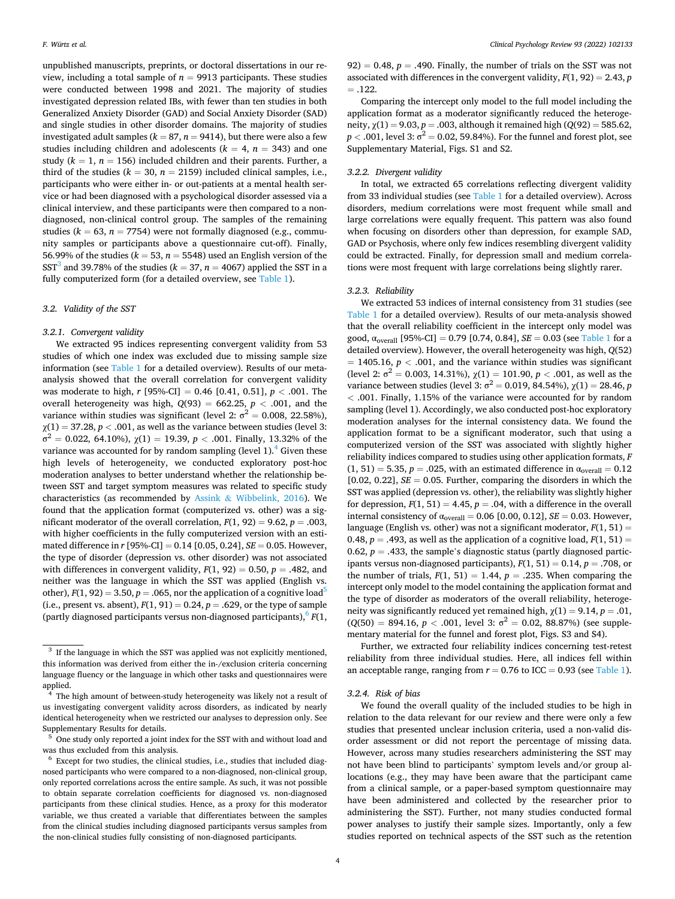unpublished manuscripts, preprints, or doctoral dissertations in our review, including a total sample of  $n = 9913$  participants. These studies were conducted between 1998 and 2021. The majority of studies investigated depression related IBs, with fewer than ten studies in both Generalized Anxiety Disorder (GAD) and Social Anxiety Disorder (SAD) and single studies in other disorder domains. The majority of studies investigated adult samples ( $k = 87$ ,  $n = 9414$ ), but there were also a few studies including children and adolescents  $(k = 4, n = 343)$  and one study  $(k = 1, n = 156)$  included children and their parents. Further, a third of the studies ( $k = 30$ ,  $n = 2159$ ) included clinical samples, i.e., participants who were either in- or out-patients at a mental health service or had been diagnosed with a psychological disorder assessed via a clinical interview, and these participants were then compared to a nondiagnosed, non-clinical control group. The samples of the remaining studies ( $k = 63$ ,  $n = 7754$ ) were not formally diagnosed (e.g., community samples or participants above a questionnaire cut-off). Finally, 56.99% of the studies ( $k = 53$ ,  $n = 5548$ ) used an English version of the SST<sup>3</sup> and 39.78% of the studies ( $k = 37$ ,  $n = 4067$ ) applied the SST in a fully computerized form (for a detailed overview, see [Table 1](#page-4-0)).

# *3.2. Validity of the SST*

# *3.2.1. Convergent validity*

We extracted 95 indices representing convergent validity from 53 studies of which one index was excluded due to missing sample size information (see [Table 1](#page-4-0) for a detailed overview). Results of our metaanalysis showed that the overall correlation for convergent validity was moderate to high, *r* [95%-CI] = 0.46 [0.41, 0.51], *p <* .001. The overall heterogeneity was high,  $Q(93) = 662.25$ ,  $p < .001$ , and the variance within studies was significant (level 2:  $\sigma^2 = 0.008$ , 22.58%),  $\chi(1) = 37.28, p < .001$ , as well as the variance between studies (level 3:  $σ<sup>2</sup> = 0.022, 64.10%)$ ,  $χ(1) = 19.39$ ,  $p < .001$ . Finally, 13.32% of the variance was accounted for by random sampling (level  $1$ ).<sup>4</sup> Given these high levels of heterogeneity, we conducted exploratory post-hoc moderation analyses to better understand whether the relationship between SST and target symptom measures was related to specific study characteristics (as recommended by Assink & [Wibbelink, 2016](#page-17-0)). We found that the application format (computerized vs. other) was a significant moderator of the overall correlation,  $F(1, 92) = 9.62$ ,  $p = .003$ , with higher coefficients in the fully computerized version with an estimated difference in *r* [95%-CI] = 0.14 [0.05, 0.24], *SE* = 0.05. However, the type of disorder (depression vs. other disorder) was not associated with differences in convergent validity,  $F(1, 92) = 0.50$ ,  $p = .482$ , and neither was the language in which the SST was applied (English vs. other),  $F(1, 92) = 3.50$ ,  $p = .065$ , nor the application of a cognitive load<sup>5</sup> (i.e., present vs. absent),  $F(1, 91) = 0.24$ ,  $p = .629$ , or the type of sample (partly diagnosed participants versus non-diagnosed participants),  $\int_{0}^{6} F(1,$ 

 $92$ ) = 0.48,  $p = .490$ . Finally, the number of trials on the SST was not associated with differences in the convergent validity,  $F(1, 92) = 2.43$ , *p*  $= .122.$ 

Comparing the intercept only model to the full model including the application format as a moderator significantly reduced the heterogeneity,  $χ(1) = 9.03, p = .003$ , although it remained high ( $Q(92) = 585.62$ )  $p < .001$ , level 3:  $\sigma^2 = 0.02$ , 59.84%). For the funnel and forest plot, see Supplementary Material, Figs. S1 and S2.

#### *3.2.2. Divergent validity*

In total, we extracted 65 correlations reflecting divergent validity from 33 individual studies (see [Table 1](#page-4-0) for a detailed overview). Across disorders, medium correlations were most frequent while small and large correlations were equally frequent. This pattern was also found when focusing on disorders other than depression, for example SAD, GAD or Psychosis, where only few indices resembling divergent validity could be extracted. Finally, for depression small and medium correlations were most frequent with large correlations being slightly rarer.

# *3.2.3. Reliability*

We extracted 53 indices of internal consistency from 31 studies (see [Table 1](#page-4-0) for a detailed overview). Results of our meta-analysis showed that the overall reliability coefficient in the intercept only model was good,  $\alpha_{\text{overall}}$  [95%-CI] = 0.79 [0.74, 0.84],  $SE = 0.03$  (see [Table 1](#page-4-0) for a detailed overview). However, the overall heterogeneity was high, *Q*(52)  $= 1405.16$ ,  $p < .001$ , and the variance within studies was significant (level 2:  $\sigma^2 = 0.003, 14.31\%$ ),  $\chi(1) = 101.90, p < .001$ , as well as the variance between studies (level 3:  $\sigma^2 = 0.019$ , 84.54%),  $\chi(1) = 28.46$ , *p <* .001. Finally, 1.15% of the variance were accounted for by random sampling (level 1). Accordingly, we also conducted post-hoc exploratory moderation analyses for the internal consistency data. We found the application format to be a significant moderator, such that using a computerized version of the SST was associated with slightly higher reliability indices compared to studies using other application formats, *F*   $(1, 51) = 5.35, p = .025$ , with an estimated difference in  $\alpha_{\text{overall}} = 0.12$ [0.02, 0.22],  $SE = 0.05$ . Further, comparing the disorders in which the SST was applied (depression vs. other), the reliability was slightly higher for depression,  $F(1, 51) = 4.45$ ,  $p = .04$ , with a difference in the overall internal consistency of  $\alpha_{\text{overall}} = 0.06$  [0.00, 0.12], *SE* = 0.03. However, language (English vs. other) was not a significant moderator, *F*(1, 51) = 0.48,  $p = .493$ , as well as the application of a cognitive load,  $F(1, 51) =$ 0.62,  $p = .433$ , the sample's diagnostic status (partly diagnosed participants versus non-diagnosed participants),  $F(1, 51) = 0.14$ ,  $p = .708$ , or the number of trials,  $F(1, 51) = 1.44$ ,  $p = .235$ . When comparing the intercept only model to the model containing the application format and the type of disorder as moderators of the overall reliability, heterogeneity was significantly reduced yet remained high,  $\chi(1) = 9.14$ ,  $p = .01$ ,  $(Q(50) = 894.16, p < .001,$  level 3:  $\sigma^2 = 0.02, 88.87\%$ ) (see supplementary material for the funnel and forest plot, Figs. S3 and S4).

Further, we extracted four reliability indices concerning test-retest reliability from three individual studies. Here, all indices fell within an acceptable range, ranging from  $r = 0.76$  to ICC = 0.93 (see [Table 1](#page-4-0)).

#### *3.2.4. Risk of bias*

We found the overall quality of the included studies to be high in relation to the data relevant for our review and there were only a few studies that presented unclear inclusion criteria, used a non-valid disorder assessment or did not report the percentage of missing data. However, across many studies researchers administering the SST may not have been blind to participants' symptom levels and/or group allocations (e.g., they may have been aware that the participant came from a clinical sample, or a paper-based symptom questionnaire may have been administered and collected by the researcher prior to administering the SST). Further, not many studies conducted formal power analyses to justify their sample sizes. Importantly, only a few studies reported on technical aspects of the SST such as the retention

 $3$  If the language in which the SST was applied was not explicitly mentioned, this information was derived from either the in-/exclusion criteria concerning language fluency or the language in which other tasks and questionnaires were applied.

The high amount of between-study heterogeneity was likely not a result of us investigating convergent validity across disorders, as indicated by nearly identical heterogeneity when we restricted our analyses to depression only. See

Supplementary Results for details.  $\frac{5}{5}$  One study only reported a joint index for the SST with and without load and was thus excluded from this analysis.

 $6$  Except for two studies, the clinical studies, i.e., studies that included diagnosed participants who were compared to a non-diagnosed, non-clinical group, only reported correlations across the entire sample. As such, it was not possible to obtain separate correlation coefficients for diagnosed vs. non-diagnosed participants from these clinical studies. Hence, as a proxy for this moderator variable, we thus created a variable that differentiates between the samples from the clinical studies including diagnosed participants versus samples from the non-clinical studies fully consisting of non-diagnosed participants.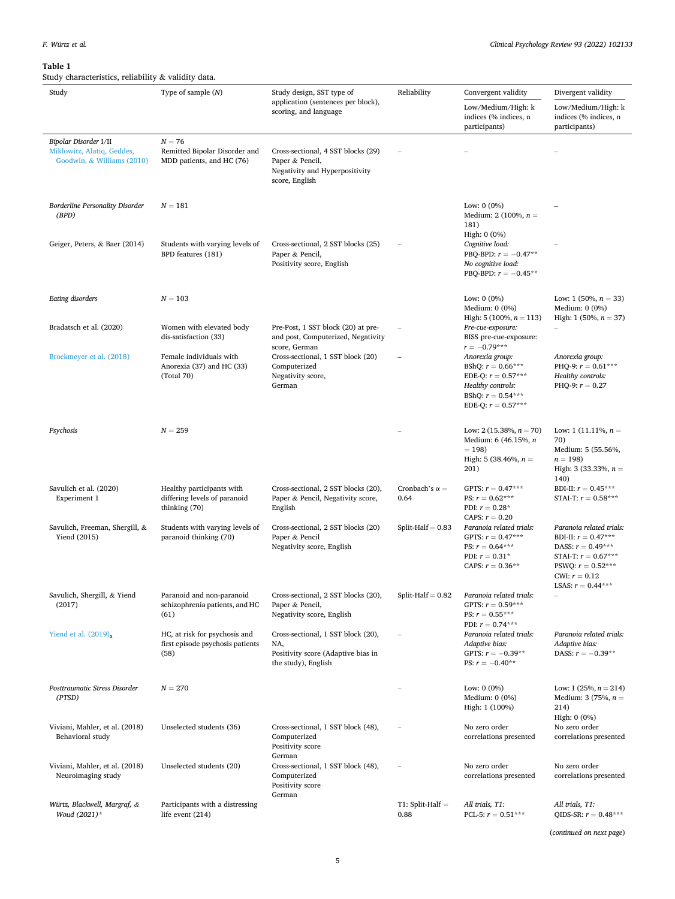# <span id="page-4-0"></span>**Table 1**

Study characteristics, reliability  $\&$  validity data.

| Study                                                    | Type of sample $(N)$                                                       | Study design, SST type of                                                                                 | Reliability                   | Convergent validity                                                                                                                | Divergent validity                                                                                                                                                 |
|----------------------------------------------------------|----------------------------------------------------------------------------|-----------------------------------------------------------------------------------------------------------|-------------------------------|------------------------------------------------------------------------------------------------------------------------------------|--------------------------------------------------------------------------------------------------------------------------------------------------------------------|
|                                                          |                                                                            | application (sentences per block),<br>scoring, and language                                               |                               | Low/Medium/High: k<br>indices (% indices, n<br>participants)                                                                       | Low/Medium/High: k<br>indices (% indices, n<br>participants)                                                                                                       |
| Bipolar Disorder I/II                                    | $N = 76$                                                                   |                                                                                                           |                               |                                                                                                                                    |                                                                                                                                                                    |
| Miklowitz, Alatiq, Geddes,<br>Goodwin, & Williams (2010) | Remitted Bipolar Disorder and<br>MDD patients, and HC (76)                 | Cross-sectional, 4 SST blocks (29)<br>Paper & Pencil,<br>Negativity and Hyperpositivity<br>score, English |                               |                                                                                                                                    |                                                                                                                                                                    |
| <b>Borderline Personality Disorder</b><br>(BPD)          | $N = 181$                                                                  |                                                                                                           |                               | Low: $0(0\%)$<br>Medium: 2 (100%, $n =$<br>181)                                                                                    |                                                                                                                                                                    |
| Geiger, Peters, & Baer (2014)                            | Students with varying levels of<br>BPD features (181)                      | Cross-sectional, 2 SST blocks (25)<br>Paper & Pencil,<br>Positivity score, English                        |                               | High: 0 (0%)<br>Cognitive load:<br>PBQ-BPD: $r = -0.47**$<br>No cognitive load:<br>PBQ-BPD: $r = -0.45**$                          |                                                                                                                                                                    |
| Eating disorders                                         | $N = 103$                                                                  |                                                                                                           |                               | Low: $0(0\%)$<br>Medium: 0 (0%)                                                                                                    | Low: 1 $(50\%, n = 33)$<br>Medium: 0 (0%)                                                                                                                          |
| Bradatsch et al. (2020)                                  | Women with elevated body<br>dis-satisfaction (33)                          | Pre-Post, 1 SST block (20) at pre-<br>and post, Computerized, Negativity<br>score, German                 |                               | High: 5 $(100\%, n = 113)$<br>Pre-cue-exposure:<br>BISS pre-cue-exposure:<br>$r = -0.79***$                                        | High: 1 $(50\%, n = 37)$                                                                                                                                           |
| Brockmeyer et al. (2018)                                 | Female individuals with<br>Anorexia (37) and HC (33)<br>(Total 70)         | Cross-sectional, 1 SST block (20)<br>Computerized<br>Negativity score,<br>German                          |                               | Anorexia group:<br>BShQ: $r = 0.66***$<br>EDE-O: $r = 0.57***$<br>Healthy controls:<br>BShQ: $r = 0.54***$<br>EDE-Q: $r = 0.57***$ | Anorexia group:<br>PHQ-9: $r = 0.61***$<br>Healthy controls:<br>PHQ-9: $r = 0.27$                                                                                  |
| Psychosis                                                | $N = 259$                                                                  |                                                                                                           |                               | Low: 2 $(15.38\%, n = 70)$<br>Medium: $6(46.15\%, n$<br>$= 198$<br>High: 5 $(38.46\%, n =$<br>201)                                 | Low: 1 $(11.11\%, n =$<br>70)<br>Medium: 5 (55.56%,<br>$n = 198$<br>High: 3 $(33.33\%, n =$<br>140)                                                                |
| Savulich et al. (2020)<br>Experiment 1                   | Healthy participants with<br>differing levels of paranoid<br>thinking (70) | Cross-sectional, 2 SST blocks (20),<br>Paper & Pencil, Negativity score,<br>English                       | Cronbach's $\alpha =$<br>0.64 | GPTS: $r = 0.47***$<br>PS: $r = 0.62***$<br>PDI: $r = 0.28*$<br>CAPS: $r = 0.20$                                                   | BDI-II: $r = 0.45***$<br>STAI-T: $r = 0.58***$                                                                                                                     |
| Savulich, Freeman, Shergill, &<br>Yiend (2015)           | Students with varying levels of<br>paranoid thinking (70)                  | Cross-sectional, 2 SST blocks (20)<br>Paper & Pencil<br>Negativity score, English                         | Split-Half = $0.83$           | Paranoia related trials:<br>GPTS: $r = 0.47***$<br>PS: $r = 0.64***$<br>PDI: $r = 0.31*$<br>CAPS: $r = 0.36**$                     | Paranoia related trials:<br>BDI-II: $r = 0.47***$<br>DASS: $r = 0.49***$<br>STAI-T: $r = 0.67***$<br>PSWQ: $r = 0.52***$<br>CWI: $r = 0.12$<br>LSAS: $r = 0.44***$ |
| Savulich, Shergill, & Yiend<br>(2017)                    | Paranoid and non-paranoid<br>schizophrenia patients, and HC<br>(61)        | Cross-sectional, 2 SST blocks (20),<br>Paper & Pencil,<br>Negativity score, English                       | Split-Half = $0.82$           | Paranoia related trials:<br>GPTS: $r = 0.59***$<br>PS: $r = 0.55***$<br>PDI: $r = 0.74***$                                         |                                                                                                                                                                    |
| Yiend et al. $(2019)$ <sub>a</sub>                       | HC, at risk for psychosis and<br>first episode psychosis patients<br>(58)  | Cross-sectional, 1 SST block (20),<br>NA,<br>Positivity score (Adaptive bias in<br>the study), English    |                               | Paranoia related trials:<br>Adaptive bias:<br>GPTS: $r = -0.39**$<br>PS: $r = -0.40**$                                             | Paranoia related trials:<br>Adaptive bias:<br>DASS: $r = -0.39**$                                                                                                  |
| Posttraumatic Stress Disorder<br>(PTSD)                  | $N = 270$                                                                  |                                                                                                           |                               | Low: $0(0\%)$<br>Medium: $0(0\%)$<br>High: 1 (100%)                                                                                | Low: 1 $(25\%, n = 214)$<br>Medium: 3 (75%, $n =$<br>214)<br>High: 0 (0%)                                                                                          |
| Viviani, Mahler, et al. (2018)<br>Behavioral study       | Unselected students (36)                                                   | Cross-sectional, 1 SST block (48),<br>Computerized<br>Positivity score<br>German                          |                               | No zero order<br>correlations presented                                                                                            | No zero order<br>correlations presented                                                                                                                            |
| Viviani, Mahler, et al. (2018)<br>Neuroimaging study     | Unselected students (20)                                                   | Cross-sectional, 1 SST block (48),<br>Computerized<br>Positivity score<br>German                          |                               | No zero order<br>correlations presented                                                                                            | No zero order<br>correlations presented                                                                                                                            |
| Würtz, Blackwell, Margraf, &<br>Woud (2021)*             | Participants with a distressing<br>life event (214)                        |                                                                                                           | $T1: Split-Half =$<br>0.88    | All trials, T1:<br>PCL-5: $r = 0.51***$                                                                                            | All trials, T1:<br>QIDS-SR: $r = 0.48***$                                                                                                                          |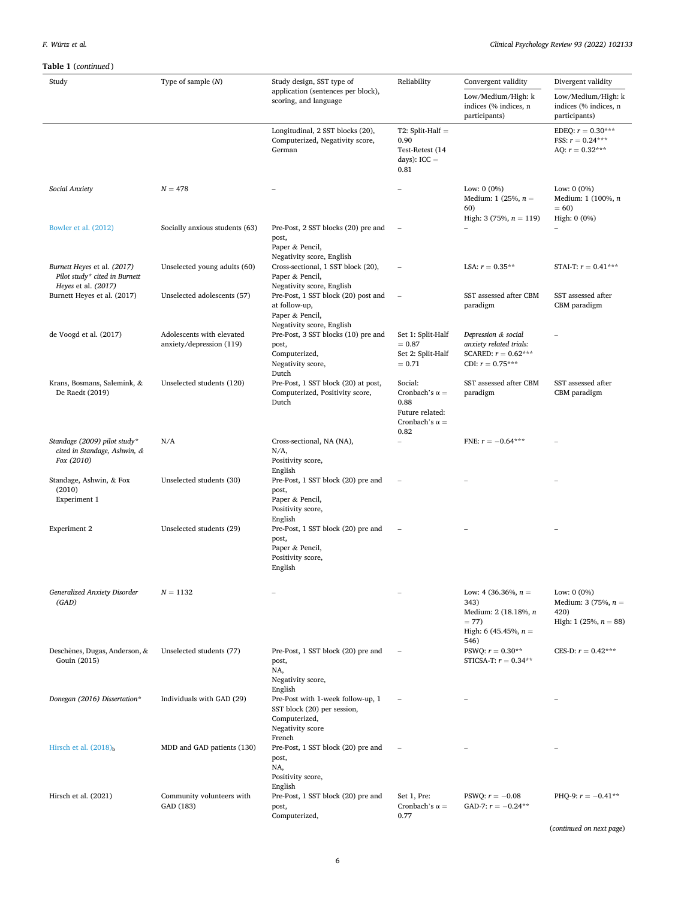# **Table 1** (*continued* )

| Study                                                                      | Type of sample $(N)$                                  | Study design, SST type of<br>application (sentences per block),<br>scoring, and language                         | Reliability                                                                                  | Convergent validity                                                                           | Divergent validity                                                         |
|----------------------------------------------------------------------------|-------------------------------------------------------|------------------------------------------------------------------------------------------------------------------|----------------------------------------------------------------------------------------------|-----------------------------------------------------------------------------------------------|----------------------------------------------------------------------------|
|                                                                            |                                                       |                                                                                                                  |                                                                                              | Low/Medium/High: k<br>indices (% indices, n<br>participants)                                  | Low/Medium/High: k<br>indices (% indices, n<br>participants)               |
|                                                                            |                                                       | Longitudinal, 2 SST blocks (20),<br>Computerized, Negativity score,<br>German                                    | $T2$ : Split-Half =<br>0.90<br>Test-Retest (14<br>days): $ICC =$<br>0.81                     |                                                                                               | EDEO: $r = 0.30***$<br>FSS: $r = 0.24***$<br>AQ: $r = 0.32***$             |
| Social Anxiety                                                             | $N = 478$                                             |                                                                                                                  |                                                                                              | Low: $0(0\%)$<br>Medium: 1 (25%, $n =$<br>60)                                                 | Low: $0(0\%)$<br>Medium: $1(100\%, n$<br>$= 60$                            |
| Bowler et al. (2012)                                                       | Socially anxious students (63)                        | Pre-Post, 2 SST blocks (20) pre and<br>post,                                                                     |                                                                                              | High: 3 $(75\%, n = 119)$                                                                     | High: 0 (0%)                                                               |
| Burnett Heyes et al. (2017)<br>Pilot study* cited in Burnett               | Unselected young adults (60)                          | Paper & Pencil,<br>Negativity score, English<br>Cross-sectional, 1 SST block (20),<br>Paper & Pencil,            |                                                                                              | LSA: $r = 0.35**$                                                                             | STAI-T: $r = 0.41***$                                                      |
| Heyes et al. (2017)<br>Burnett Heyes et al. (2017)                         | Unselected adolescents (57)                           | Negativity score, English<br>Pre-Post, 1 SST block (20) post and<br>at follow-up,<br>Paper & Pencil,             |                                                                                              | SST assessed after CBM<br>paradigm                                                            | SST assessed after<br>CBM paradigm                                         |
| de Voogd et al. (2017)                                                     | Adolescents with elevated<br>anxiety/depression (119) | Negativity score, English<br>Pre-Post, 3 SST blocks (10) pre and<br>post,<br>Computerized,<br>Negativity score,  | Set 1: Split-Half<br>$= 0.87$<br>Set 2: Split-Half<br>$= 0.71$                               | Depression & social<br>anxiety related trials:<br>SCARED: $r = 0.62***$<br>CDI: $r = 0.75***$ |                                                                            |
| Krans, Bosmans, Salemink, &<br>De Raedt (2019)                             | Unselected students (120)                             | Dutch<br>Pre-Post, 1 SST block (20) at post,<br>Computerized, Positivity score,<br>Dutch                         | Social:<br>Cronbach's $\alpha =$<br>0.88<br>Future related:<br>Cronbach's $\alpha =$<br>0.82 | SST assessed after CBM<br>paradigm                                                            | SST assessed after<br>CBM paradigm                                         |
| Standage (2009) pilot study*<br>cited in Standage, Ashwin, &<br>Fox (2010) | N/A                                                   | Cross-sectional, NA (NA),<br>$N/A$ ,<br>Positivity score,<br>English                                             |                                                                                              | FNE: $r = -0.64***$                                                                           |                                                                            |
| Standage, Ashwin, & Fox<br>(2010)<br>Experiment 1                          | Unselected students (30)                              | Pre-Post, 1 SST block (20) pre and<br>post,<br>Paper & Pencil,<br>Positivity score,<br>English                   |                                                                                              |                                                                                               |                                                                            |
| <b>Experiment 2</b>                                                        | Unselected students (29)                              | Pre-Post, 1 SST block (20) pre and<br>post,<br>Paper & Pencil,<br>Positivity score,<br>English                   |                                                                                              |                                                                                               |                                                                            |
| Generalized Anxiety Disorder<br>(GAD)                                      | $N = 1132$                                            |                                                                                                                  |                                                                                              | Low: 4 (36.36%, $n =$<br>343)<br>Medium: 2 (18.18%, n<br>$= 77$<br>High: 6 (45.45%, $n =$     | Low: $0(0\%)$<br>Medium: 3 (75%, $n =$<br>420)<br>High: 1 $(25\%, n = 88)$ |
| Deschênes, Dugas, Anderson, &<br>Gouin (2015)                              | Unselected students (77)                              | Pre-Post, 1 SST block (20) pre and<br>post,<br>NA,<br>Negativity score,                                          |                                                                                              | 546)<br>PSWQ: $r = 0.30**$<br>STICSA-T: $r = 0.34***$                                         | CES-D: $r = 0.42***$                                                       |
| Donegan (2016) Dissertation*                                               | Individuals with GAD (29)                             | English<br>Pre-Post with 1-week follow-up, 1<br>SST block (20) per session,<br>Computerized,<br>Negativity score |                                                                                              |                                                                                               |                                                                            |
| Hirsch et al. $(2018)$ <sub>b</sub>                                        | MDD and GAD patients (130)                            | French<br>Pre-Post, 1 SST block (20) pre and<br>post,<br>NA,<br>Positivity score,                                |                                                                                              |                                                                                               |                                                                            |
| Hirsch et al. (2021)                                                       | Community volunteers with<br>GAD (183)                | English<br>Pre-Post, 1 SST block (20) pre and<br>post,<br>Computerized,                                          | Set 1, Pre:<br>Cronbach's $\alpha$ =<br>0.77                                                 | PSWQ: $r = -0.08$<br>GAD-7: $r = -0.24**$                                                     | PHQ-9: $r = -0.41**$                                                       |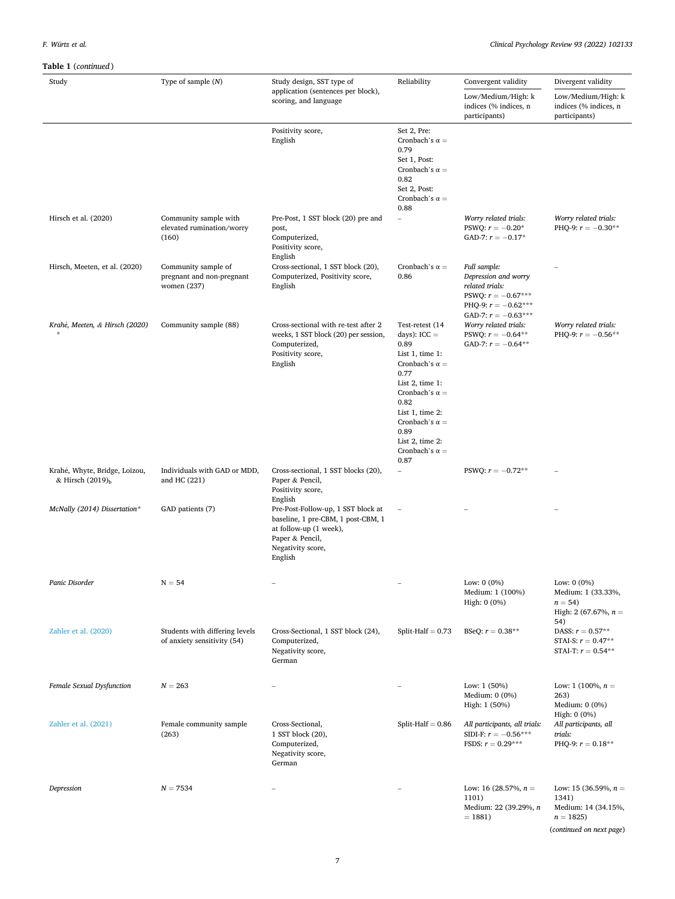| rapic r (communica)<br>Study                                  | Type of sample $(N)$                                            | Study design, SST type of                                                                                                                             | Reliability                                                                                                                                                                                                                                                                       | Convergent validity                                                                                                               | Divergent validity                                                                               |
|---------------------------------------------------------------|-----------------------------------------------------------------|-------------------------------------------------------------------------------------------------------------------------------------------------------|-----------------------------------------------------------------------------------------------------------------------------------------------------------------------------------------------------------------------------------------------------------------------------------|-----------------------------------------------------------------------------------------------------------------------------------|--------------------------------------------------------------------------------------------------|
|                                                               |                                                                 | application (sentences per block),<br>scoring, and language                                                                                           |                                                                                                                                                                                                                                                                                   | Low/Medium/High: k                                                                                                                | Low/Medium/High: k                                                                               |
|                                                               |                                                                 |                                                                                                                                                       |                                                                                                                                                                                                                                                                                   | indices (% indices, n<br>participants)                                                                                            | indices (% indices, n<br>participants)                                                           |
|                                                               |                                                                 | Positivity score,<br>English                                                                                                                          | Set 2, Pre:<br>Cronbach's $\alpha =$<br>0.79<br>Set 1, Post:<br>Cronbach's $\alpha =$<br>0.82<br>Set 2, Post:<br>Cronbach's $\alpha =$<br>0.88                                                                                                                                    |                                                                                                                                   |                                                                                                  |
| Hirsch et al. (2020)                                          | Community sample with<br>elevated rumination/worry<br>(160)     | Pre-Post, 1 SST block (20) pre and<br>post,<br>Computerized,<br>Positivity score,<br>English                                                          | $\overline{a}$                                                                                                                                                                                                                                                                    | Worry related trials:<br>PSWQ: $r = -0.20*$<br>GAD-7: $r = -0.17*$                                                                | Worry related trials:<br>PHQ-9: $r = -0.30**$                                                    |
| Hirsch, Meeten, et al. (2020)                                 | Community sample of<br>pregnant and non-pregnant<br>women (237) | Cross-sectional, 1 SST block (20),<br>Computerized, Positivity score,<br>English                                                                      | Cronbach's $\alpha$ =<br>0.86                                                                                                                                                                                                                                                     | Full sample:<br>Depression and worry<br>related trials:<br>PSWQ: $r = -0.67***$<br>PHQ-9: $r = -0.62***$<br>GAD-7: $r = -0.63***$ |                                                                                                  |
| Krahé, Meeten, & Hirsch (2020)                                | Community sample (88)                                           | Cross-sectional with re-test after 2<br>weeks, 1 SST block (20) per session,<br>Computerized,<br>Positivity score,<br>English                         | Test-retest (14<br>days): $ICC =$<br>0.89<br>List $1$ , time $1$ :<br>Cronbach's $\alpha$ =<br>0.77<br>List $2$ , time $1$ :<br>Cronbach's $\alpha =$<br>0.82<br>List $1$ , time $2$ :<br>Cronbach's $\alpha =$<br>0.89<br>List $2$ , time $2$ :<br>Cronbach's $\alpha =$<br>0.87 | Worry related trials:<br>PSWQ: $r = -0.64**$<br>GAD-7: $r = -0.64**$                                                              | Worry related trials:<br>PHQ-9: $r = -0.56**$                                                    |
| Krahé, Whyte, Bridge, Loizou,<br>& Hirsch (2019) <sub>b</sub> | Individuals with GAD or MDD,<br>and HC (221)                    | Cross-sectional, 1 SST blocks (20),<br>Paper & Pencil,<br>Positivity score,<br>English                                                                | $\overline{a}$                                                                                                                                                                                                                                                                    | PSWQ: $r = -0.72**$                                                                                                               |                                                                                                  |
| McNally (2014) Dissertation*                                  | GAD patients (7)                                                | Pre-Post-Follow-up, 1 SST block at<br>baseline, 1 pre-CBM, 1 post-CBM, 1<br>at follow-up (1 week),<br>Paper & Pencil,<br>Negativity score,<br>English |                                                                                                                                                                                                                                                                                   |                                                                                                                                   |                                                                                                  |
| Panic Disorder                                                | $N = 54$                                                        |                                                                                                                                                       |                                                                                                                                                                                                                                                                                   | Low: $0(0\%)$<br>Medium: 1 (100%)<br>High: 0 (0%)                                                                                 | Low: $0(0\%)$<br>Medium: 1 (33.33%,<br>$n = 54$<br>High: 2 (67.67%, $n =$<br>54)                 |
| Zahler et al. (2020)                                          | Students with differing levels<br>of anxiety sensitivity (54)   | Cross-Sectional, 1 SST block (24),<br>Computerized,<br>Negativity score,<br>German                                                                    | Split-Half $= 0.73$                                                                                                                                                                                                                                                               | BSeQ: $r = 0.38**$                                                                                                                | DASS: $r = 0.57**$<br>STAI-S: $r = 0.47**$<br>STAI-T: $r = 0.54**$                               |
| Female Sexual Dysfunction                                     | $N = 263$                                                       |                                                                                                                                                       |                                                                                                                                                                                                                                                                                   | Low: 1 (50%)<br>Medium: $0(0\%)$<br>High: 1 (50%)                                                                                 | Low: 1 (100%, $n =$<br>263)<br>Medium: $0(0\%)$<br>High: 0 (0%)                                  |
| Zahler et al. (2021)                                          | Female community sample<br>(263)                                | Cross-Sectional,<br>1 SST block (20),<br>Computerized,<br>Negativity score,<br>German                                                                 | Split-Half $= 0.86$                                                                                                                                                                                                                                                               | All participants, all trials:<br>SIDI-F: $r = -0.56***$<br>FSDS: $r = 0.29***$                                                    | All participants, all<br>trials:<br>PHQ-9: $r = 0.18**$                                          |
| Depression                                                    | $N = 7534$                                                      |                                                                                                                                                       |                                                                                                                                                                                                                                                                                   | Low: 16 (28.57%, $n =$<br>1101)<br>Medium: 22 (39.29%, n<br>$= 1881$                                                              | Low: 15 (36.59%, $n =$<br>1341)<br>Medium: 14 (34.15%,<br>$n = 1825$<br>(continued on next page) |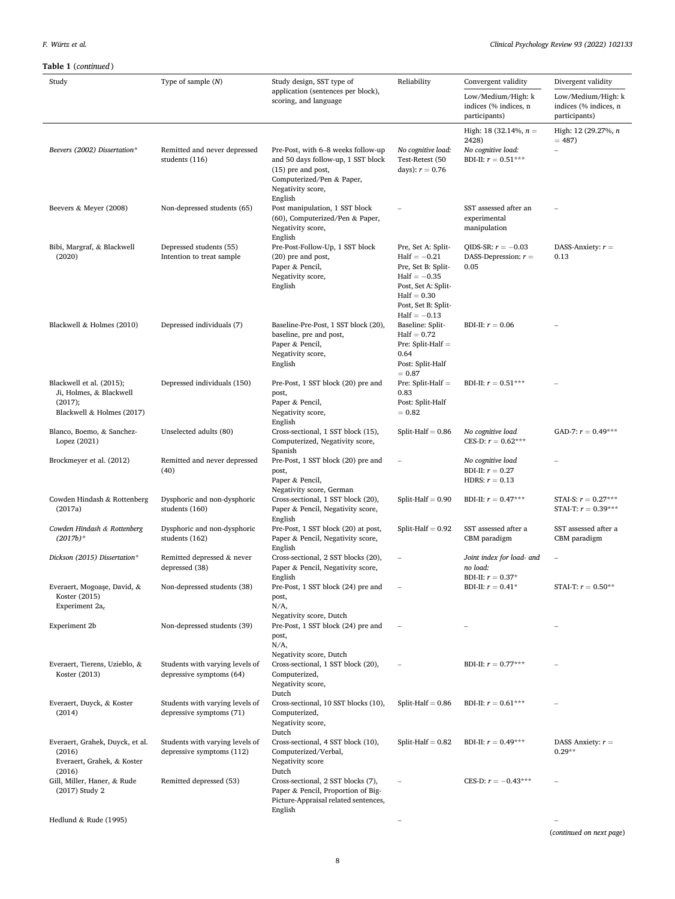| $\mathbf{u}$ and $\mathbf{u}$ (continuous)                                                  |                                                              |                                                                                                                                                  |                                                                                                                                                               |                                                              |                                                              |
|---------------------------------------------------------------------------------------------|--------------------------------------------------------------|--------------------------------------------------------------------------------------------------------------------------------------------------|---------------------------------------------------------------------------------------------------------------------------------------------------------------|--------------------------------------------------------------|--------------------------------------------------------------|
| Study                                                                                       | Type of sample $(N)$                                         | Study design, SST type of<br>application (sentences per block),                                                                                  | Reliability                                                                                                                                                   | Convergent validity                                          | Divergent validity                                           |
|                                                                                             |                                                              | scoring, and language                                                                                                                            |                                                                                                                                                               | Low/Medium/High: k<br>indices (% indices, n<br>participants) | Low/Medium/High: k<br>indices (% indices, n<br>participants) |
|                                                                                             |                                                              |                                                                                                                                                  |                                                                                                                                                               | High: 18 (32.14%, $n =$                                      | High: 12 (29.27%, n                                          |
| Beevers (2002) Dissertation*                                                                | Remitted and never depressed<br>students (116)               | Pre-Post, with 6–8 weeks follow-up<br>and 50 days follow-up, 1 SST block<br>(15) pre and post,<br>Computerized/Pen & Paper,<br>Negativity score, | No cognitive load:<br>Test-Retest (50<br>days): $r = 0.76$                                                                                                    | 2428)<br>No cognitive load:<br>BDI-II: $r = 0.51***$         | $= 487$                                                      |
| Beevers & Meyer (2008)                                                                      | Non-depressed students (65)                                  | English<br>Post manipulation, 1 SST block<br>(60), Computerized/Pen & Paper,<br>Negativity score,<br>English                                     |                                                                                                                                                               | SST assessed after an<br>experimental<br>manipulation        |                                                              |
| Bibi, Margraf, & Blackwell<br>(2020)                                                        | Depressed students (55)<br>Intention to treat sample         | Pre-Post-Follow-Up, 1 SST block<br>(20) pre and post,<br>Paper & Pencil,<br>Negativity score,<br>English                                         | Pre, Set A: Split-<br>$Half = -0.21$<br>Pre, Set B: Split-<br>$Half = -0.35$<br>Post, Set A: Split-<br>$Half = 0.30$<br>Post, Set B: Split-<br>$Half = -0.13$ | QIDS-SR: $r = -0.03$<br>DASS-Depression: $r =$<br>0.05       | DASS-Anxiety: $r =$<br>0.13                                  |
| Blackwell & Holmes (2010)                                                                   | Depressed individuals (7)                                    | Baseline-Pre-Post, 1 SST block (20),<br>baseline, pre and post,<br>Paper & Pencil,<br>Negativity score,<br>English                               | Baseline: Split-<br>$Half = 0.72$<br>Pre: Split-Half $=$<br>0.64<br>Post: Split-Half<br>$= 0.87$                                                              | BDI-II: $r = 0.06$                                           |                                                              |
| Blackwell et al. (2015);<br>Ji, Holmes, & Blackwell<br>(2017);<br>Blackwell & Holmes (2017) | Depressed individuals (150)                                  | Pre-Post, 1 SST block (20) pre and<br>post,<br>Paper & Pencil,<br>Negativity score,<br>English                                                   | Pre: Split-Half $=$<br>0.83<br>Post: Split-Half<br>$= 0.82$                                                                                                   | BDI-II: $r = 0.51***$                                        |                                                              |
| Blanco, Boemo, & Sanchez-<br>Lopez (2021)                                                   | Unselected adults (80)                                       | Cross-sectional, 1 SST block (15),<br>Computerized, Negativity score,<br>Spanish                                                                 | Split-Half $= 0.86$                                                                                                                                           | No cognitive load<br>CES-D: $r = 0.62***$                    | GAD-7: $r = 0.49***$                                         |
| Brockmeyer et al. (2012)                                                                    | Remitted and never depressed<br>(40)                         | Pre-Post, 1 SST block (20) pre and<br>post,<br>Paper & Pencil,<br>Negativity score, German                                                       |                                                                                                                                                               | No cognitive load<br>BDI-II: $r = 0.27$<br>HDRS: $r = 0.13$  |                                                              |
| Cowden Hindash & Rottenberg<br>(2017a)                                                      | Dysphoric and non-dysphoric<br>students (160)                | Cross-sectional, 1 SST block (20),<br>Paper & Pencil, Negativity score,<br>English                                                               | Split-Half $= 0.90$                                                                                                                                           | BDI-II: $r = 0.47***$                                        | STAI-S: $r = 0.27***$<br>STAI-T: $r = 0.39***$               |
| Cowden Hindash & Rottenberg<br>$(2017b)*$                                                   | Dysphoric and non-dysphoric<br>students (162)                | Pre-Post, 1 SST block (20) at post,<br>Paper & Pencil, Negativity score,<br>English                                                              | Split-Half $= 0.92$                                                                                                                                           | SST assessed after a<br>CBM paradigm                         | SST assessed after a<br>CBM paradigm                         |
| Dickson (2015) Dissertation*                                                                | Remitted depressed & never<br>depressed (38)                 | Cross-sectional, 2 SST blocks (20),<br>Paper & Pencil, Negativity score,<br>English                                                              |                                                                                                                                                               | Joint index for load- and<br>no load:<br>BDI-II: $r = 0.37*$ |                                                              |
| Everaert, Mogoase, David, &<br>Koster (2015)<br>Experiment $2a_c$                           | Non-depressed students (38)                                  | Pre-Post, 1 SST block (24) pre and<br>post,<br>N/A,<br>Negativity score, Dutch                                                                   |                                                                                                                                                               | BDI-II: $r = 0.41*$                                          | STAI-T: $r = 0.50**$                                         |
| <b>Experiment 2b</b>                                                                        | Non-depressed students (39)                                  | Pre-Post, 1 SST block (24) pre and<br>post,<br>$N/A$ ,<br>Negativity score, Dutch                                                                |                                                                                                                                                               |                                                              |                                                              |
| Everaert, Tierens, Uzieblo, &<br>Koster (2013)                                              | Students with varying levels of<br>depressive symptoms (64)  | Cross-sectional, 1 SST block (20),<br>Computerized,<br>Negativity score,<br>Dutch                                                                |                                                                                                                                                               | BDI-II: $r = 0.77***$                                        |                                                              |
| Everaert, Duyck, & Koster<br>(2014)                                                         | Students with varying levels of<br>depressive symptoms (71)  | Cross-sectional, 10 SST blocks (10),<br>Computerized,<br>Negativity score,<br>Dutch                                                              | Split-Half $= 0.86$                                                                                                                                           | BDI-II: $r = 0.61***$                                        |                                                              |
| Everaert, Grahek, Duyck, et al.<br>(2016)<br>Everaert, Grahek, & Koster<br>(2016)           | Students with varying levels of<br>depressive symptoms (112) | Cross-sectional, 4 SST block (10),<br>Computerized/Verbal,<br>Negativity score<br>Dutch                                                          | Split-Half $= 0.82$                                                                                                                                           | BDI-II: $r = 0.49***$                                        | DASS Anxiety: $r =$<br>$0.29**$                              |
| Gill, Miller, Haner, & Rude<br>(2017) Study 2                                               | Remitted depressed (53)                                      | Cross-sectional, 2 SST blocks (7),<br>Paper & Pencil, Proportion of Big-<br>Picture-Appraisal related sentences,<br>English                      |                                                                                                                                                               | CES-D: $r = -0.43***$                                        |                                                              |
| Hedlund $& Rude(1995)$                                                                      |                                                              |                                                                                                                                                  |                                                                                                                                                               |                                                              |                                                              |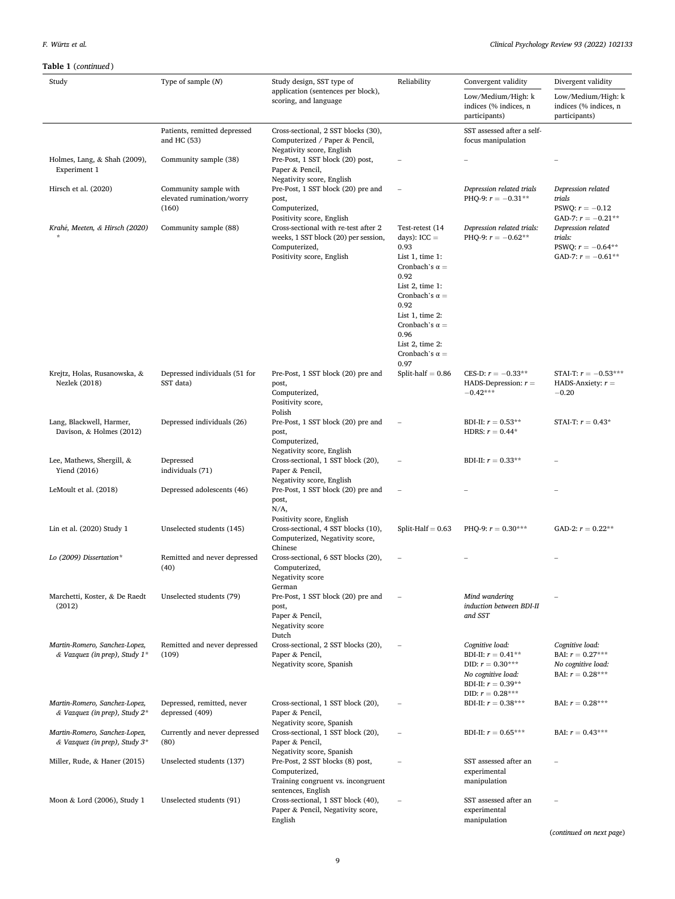**Table 1** (*continued* )

#### Study Type of sample (*N*) Study design, SST type of application (sentences per block), scoring, and language Reliability Convergent validity Divergent validity Low/Medium/High: k indices (% indices, n participants) Low/Medium/High: k indices (% indices, n participants) Patients, remitted depressed and HC (53) Cross-sectional, 2 SST blocks (30), Computerized / Paper & Pencil, Negativity score, English SST assessed after a selffocus manipulation Holmes, Lang, & Shah (2009), Experiment 1 Community sample (38) Pre-Post, 1 SST block (20) post, Paper & Pencil, Negativity score, English – – – Hirsch et al. (2020) Community sample with elevated rumination/worry  $(160)$ Pre-Post, 1 SST block (20) pre and post, Computerized, Positivity score, English – *Depression related trials*  PHQ-9:  $r = -0.31**$ *Depression related trials*   $PSWO: r = -0.12$ GAD-7:  $r = -0.21**$ *Krah*´*e, Meeten, & Hirsch (2020) \**  Community sample (88) Cross-sectional with re-test after 2 weeks, 1 SST block (20) per session, Computerized, Positivity score, English Test-retest (14 days):  $ICC =$ 0.93 List 1, time 1: Cronbach's  $\alpha =$ 0.92 List  $2$ , time  $1$ : Cronbach's  $\alpha$  = 0.92 List 1, time 2: Cronbach's  $\alpha =$ 0.96 List 2, time 2: Cronbach's  $\alpha$  = 0.97 *Depression related trials:*  PHQ-9:  $r = -0.62**$ *Depression related trials:*  PSWQ:  $r = -0.64**$ GAD-7:  $r = -0.61**$ Krejtz, Holas, Rusanowska, & Nezlek (2018) Depressed individuals (51 for SST data) Pre-Post, 1 SST block (20) pre and post, Computerized, Positivity score, Polish  $Split-half = 0.86$  CES-D:  $r = -0.33**$ HADS-Depression: *r* =  $-0.42***$ STAI-T:  $r = -0.53***$ HADS-Anxiety: *r* =  $-0.20$ Lang, Blackwell, Harmer, Davison, & Holmes (2012) Depressed individuals (26) Pre-Post, 1 SST block (20) pre and post, Computerized, Negativity score, English BDI-II:  $r = 0.53**$ HDRS:  $r = 0.44*$ STAI-T:  $r = 0.43*$ Lee, Mathews, Shergill, & Yiend (2016) Depressed individuals (71) Cross-sectional, 1 SST block (20), Paper & Pencil, Negativity score, English BDI-II:  $r = 0.33**$ LeMoult et al. (2018) Depressed adolescents (46) Pre-Post, 1 SST block (20) pre and post, N/A, Positivity score, English – – – Lin et al. (2020) Study 1 Unselected students (145) Cross-sectional, 4 SST blocks (10), Computerized, Negativity score, Chinese Split-Half =  $0.63$  PHO-9:  $r = 0.30^{***}$  GAD-2:  $r = 0.22^{**}$ Lo (2009) Dissertation<sup>\*</sup> Remitted and never depressed (40) Cross-sectional, 6 SST blocks (20), Computerized, Negativity score German – – – Marchetti, Koster, & De Raedt (2012) Unselected students (79) Pre-Post, 1 SST block (20) pre and post, Paper & Pencil, Negativity score Dutch – *Mind wandering induction between BDI-II and SST*  – *Martin-Romero, Sanchez-Lopez, & Vazquez (in prep), Study 1\**  Remitted and never depressed (109) Cross-sectional, 2 SST blocks (20), Paper & Pencil, Negativity score, Spanish – *Cognitive load:*  BDI-II:  $r = 0.41**$ DID:  $r = 0.30***$ *No cognitive load:*  BDI-II:  $r = 0.39**$ DID:  $r = 0.28***$ *Cognitive load:*  BAI:  $r = 0.27***$ *No cognitive load:*  BAI:  $r = 0.28***$ *Martin-Romero, Sanchez-Lopez, & Vazquez (in prep), Study 2\**  Depressed, remitted, never depressed (409) Cross-sectional, 1 SST block (20), Paper & Pencil, Negativity score, Spanish BDI-II:  $r = 0.38***$  BAI:  $r = 0.28***$ *Martin-Romero, Sanchez-Lopez, & Vazquez (in prep), Study 3\**  Currently and never depressed (80) Cross-sectional, 1 SST block (20), Paper & Pencil, Negativity score, Spanish  $BDI-II: r = 0.65***$  BAI:  $r = 0.43***$ Miller, Rude, & Haner (2015) Unselected students (137) Pre-Post, 2 SST blocks (8) post, Computerized, Training congruent vs. incongruent sentences, English SST assessed after an experimental manipulation – Moon & Lord (2006), Study 1 Unselected students (91) Cross-sectional, 1 SST block (40), Paper & Pencil, Negativity score, English SST assessed after an experimental manipulation –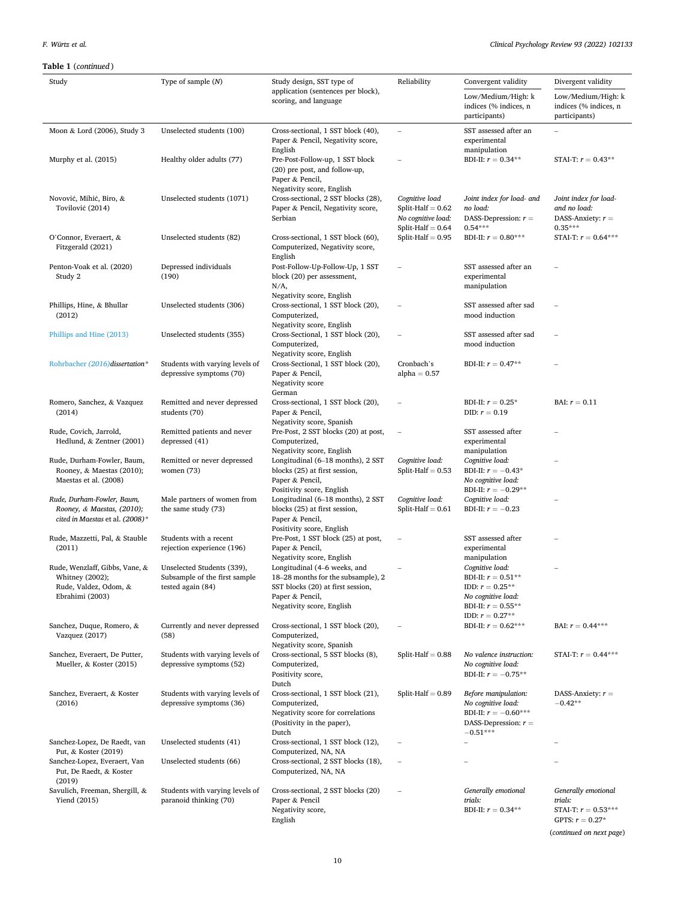# *Clinical Psychology Review 93 (2022) 102133*

| Study                                                                                                           | Type of sample $(N)$                                                             | Study design, SST type of                                                                                                                               | Reliability                                                                        | Convergent validity                                                                                                             | Divergent validity                                                                                       |
|-----------------------------------------------------------------------------------------------------------------|----------------------------------------------------------------------------------|---------------------------------------------------------------------------------------------------------------------------------------------------------|------------------------------------------------------------------------------------|---------------------------------------------------------------------------------------------------------------------------------|----------------------------------------------------------------------------------------------------------|
|                                                                                                                 |                                                                                  | application (sentences per block),<br>scoring, and language                                                                                             |                                                                                    | Low/Medium/High: k<br>indices (% indices, n<br>participants)                                                                    | Low/Medium/High: k<br>indices (% indices, n<br>participants)                                             |
| Moon & Lord (2006), Study 3                                                                                     | Unselected students (100)                                                        | Cross-sectional, 1 SST block (40),<br>Paper & Pencil, Negativity score,<br>English                                                                      | $\overline{\phantom{0}}$                                                           | SST assessed after an<br>experimental<br>manipulation                                                                           |                                                                                                          |
| Murphy et al. (2015)                                                                                            | Healthy older adults (77)                                                        | Pre-Post-Follow-up, 1 SST block<br>(20) pre post, and follow-up,<br>Paper & Pencil,<br>Negativity score, English                                        | $\overline{a}$                                                                     | BDI-II: $r = 0.34**$                                                                                                            | STAI-T: $r = 0.43**$                                                                                     |
| Novović, Mihić, Biro, &<br>Tovilović (2014)                                                                     | Unselected students (1071)                                                       | Cross-sectional, 2 SST blocks (28),<br>Paper & Pencil, Negativity score,<br>Serbian                                                                     | Cognitive load<br>Split-Half $= 0.62$<br>No cognitive load:<br>Split-Half = $0.64$ | Joint index for load- and<br>no load:<br>DASS-Depression: $r =$<br>$0.54***$                                                    | Joint index for load-<br>and no load:<br>DASS-Anxiety: $r =$<br>$0.35***$                                |
| O'Connor, Everaert, &<br>Fitzgerald (2021)                                                                      | Unselected students (82)                                                         | Cross-sectional, 1 SST block (60),<br>Computerized, Negativity score,<br>English                                                                        | Split-Half $= 0.95$                                                                | BDI-II: $r = 0.80***$                                                                                                           | STAI-T: $r = 0.64***$                                                                                    |
| Penton-Voak et al. (2020)<br>Study 2                                                                            | Depressed individuals<br>(190)                                                   | Post-Follow-Up-Follow-Up, 1 SST<br>block (20) per assessment,<br>$N/A$ ,<br>Negativity score, English                                                   |                                                                                    | SST assessed after an<br>experimental<br>manipulation                                                                           |                                                                                                          |
| Phillips, Hine, & Bhullar<br>(2012)                                                                             | Unselected students (306)                                                        | Cross-sectional, 1 SST block (20),<br>Computerized,<br>Negativity score, English                                                                        |                                                                                    | SST assessed after sad<br>mood induction                                                                                        |                                                                                                          |
| Phillips and Hine (2013)                                                                                        | Unselected students (355)                                                        | Cross-Sectional, 1 SST block (20),<br>Computerized,<br>Negativity score, English                                                                        |                                                                                    | SST assessed after sad<br>mood induction                                                                                        |                                                                                                          |
| Rohrbacher (2016) dissertation*                                                                                 | Students with varying levels of<br>depressive symptoms (70)                      | Cross-Sectional, 1 SST block (20),<br>Paper & Pencil,<br>Negativity score<br>German                                                                     | Cronbach's<br>alpha $= 0.57$                                                       | BDI-II: $r = 0.47**$                                                                                                            |                                                                                                          |
| Romero, Sanchez, & Vazquez<br>(2014)                                                                            | Remitted and never depressed<br>students (70)                                    | Cross-sectional, 1 SST block (20),<br>Paper & Pencil,<br>Negativity score, Spanish                                                                      | $\overline{\phantom{a}}$                                                           | BDI-II: $r = 0.25^*$<br>DID: $r = 0.19$                                                                                         | BAI: $r = 0.11$                                                                                          |
| Rude, Covich, Jarrold,<br>Hedlund, & Zentner (2001)                                                             | Remitted patients and never<br>depressed (41)                                    | Pre-Post, 2 SST blocks (20) at post,<br>Computerized,<br>Negativity score, English                                                                      | $\overline{a}$                                                                     | SST assessed after<br>experimental<br>manipulation                                                                              |                                                                                                          |
| Rude, Durham-Fowler, Baum,<br>Rooney, & Maestas (2010);<br>Maestas et al. (2008)                                | Remitted or never depressed<br>women (73)                                        | Longitudinal (6-18 months), 2 SST<br>blocks (25) at first session,<br>Paper & Pencil,<br>Positivity score, English                                      | Cognitive load:<br>Split-Half $= 0.53$                                             | Cognitive load:<br>BDI-II: $r = -0.43*$<br>No cognitive load:<br>BDI-II: $r = -0.29**$                                          |                                                                                                          |
| Rude, Durham-Fowler, Baum,<br>Rooney, & Maestas, (2010);<br>cited in Maestas et al. (2008)*                     | Male partners of women from<br>the same study (73)                               | Longitudinal (6-18 months), 2 SST<br>blocks (25) at first session,<br>Paper & Pencil,<br>Positivity score, English                                      | Cognitive load:<br>Split-Half = $0.61$                                             | Cognitive load:<br>BDI-II: $r = -0.23$                                                                                          |                                                                                                          |
| Rude, Mazzetti, Pal, & Stauble<br>(2011)                                                                        | Students with a recent<br>rejection experience (196)                             | Pre-Post, 1 SST block (25) at post,<br>Paper & Pencil,<br>Negativity score, English                                                                     |                                                                                    | SST assessed after<br>experimental<br>manipulation                                                                              |                                                                                                          |
| Rude, Wenzlaff, Gibbs, Vane, &<br>Whitney (2002);<br>Rude, Valdez, Odom, &<br>Ebrahimi (2003)                   | Unselected Students (339).<br>Subsample of the first sample<br>tested again (84) | Longitudinal (4–6 weeks, and<br>18-28 months for the subsample), 2<br>SST blocks (20) at first session,<br>Paper & Pencil,<br>Negativity score, English |                                                                                    | Cognitive load:<br>BDI-II: $r = 0.51**$<br>IDD: $r = 0.25**$<br>No cognitive load:<br>BDI-II: $r = 0.55**$<br>IDD: $r = 0.27**$ |                                                                                                          |
| Sanchez, Duque, Romero, &<br>Vazquez (2017)                                                                     | Currently and never depressed<br>(58)                                            | Cross-sectional, 1 SST block (20),<br>Computerized,<br>Negativity score, Spanish                                                                        |                                                                                    | BDI-II: $r = 0.62***$                                                                                                           | BAI: $r = 0.44***$                                                                                       |
| Sanchez, Everaert, De Putter,<br>Mueller, & Koster (2015)                                                       | Students with varying levels of<br>depressive symptoms (52)                      | Cross-sectional, 5 SST blocks (8),<br>Computerized,<br>Positivity score,<br>Dutch                                                                       | Split-Half $= 0.88$                                                                | No valence instruction:<br>No cognitive load:<br>BDI-II: $r = -0.75**$                                                          | STAI-T: $r = 0.44***$                                                                                    |
| Sanchez, Everaert, & Koster<br>(2016)                                                                           | Students with varying levels of<br>depressive symptoms (36)                      | Cross-sectional, 1 SST block (21),<br>Computerized,<br>Negativity score for correlations<br>(Positivity in the paper),<br>Dutch                         | Split-Half $= 0.89$                                                                | Before manipulation:<br>No cognitive load:<br>BDI-II: $r = -0.60***$<br>DASS-Depression: $r =$<br>$-0.51***$                    | DASS-Anxiety: $r =$<br>$-0.42**$                                                                         |
| Sanchez-Lopez, De Raedt, van<br>Put, & Koster (2019)<br>Sanchez-Lopez, Everaert, Van<br>Put, De Raedt, & Koster | Unselected students (41)<br>Unselected students (66)                             | Cross-sectional, 1 SST block (12),<br>Computerized, NA, NA<br>Cross-sectional, 2 SST blocks (18),<br>Computerized, NA, NA                               | $\overline{a}$                                                                     |                                                                                                                                 |                                                                                                          |
| (2019)<br>Savulich, Freeman, Shergill, &<br>Yiend (2015)                                                        | Students with varying levels of<br>paranoid thinking (70)                        | Cross-sectional, 2 SST blocks (20)<br>Paper & Pencil<br>Negativity score,<br>English                                                                    | $\overline{a}$                                                                     | Generally emotional<br>trials:<br>BDI-II: $r = 0.34**$                                                                          | Generally emotional<br>trials:<br>STAI-T: $r = 0.53***$<br>GPTS: $r = 0.27*$<br>(continued on next page) |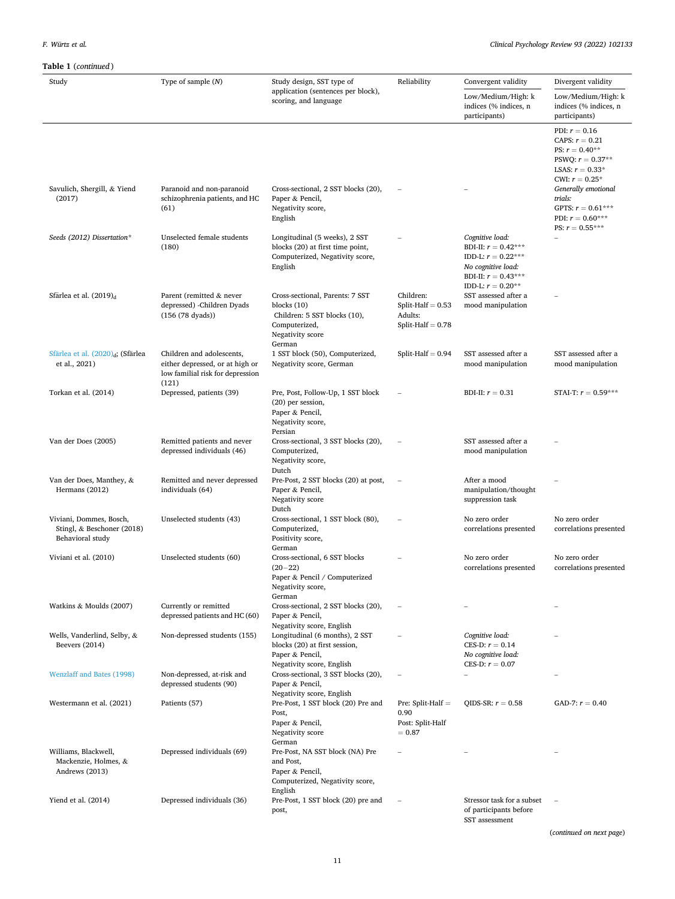| rapie i <i>continueu</i><br>Study                                         | Type of sample $(N)$                                                                                      | Study design, SST type of                                                                                                       | Reliability                                                        | Convergent validity                                                                                                                    | Divergent validity                                                                                                      |
|---------------------------------------------------------------------------|-----------------------------------------------------------------------------------------------------------|---------------------------------------------------------------------------------------------------------------------------------|--------------------------------------------------------------------|----------------------------------------------------------------------------------------------------------------------------------------|-------------------------------------------------------------------------------------------------------------------------|
|                                                                           |                                                                                                           | application (sentences per block),<br>scoring, and language                                                                     |                                                                    | Low/Medium/High: k<br>indices (% indices, n<br>participants)                                                                           | Low/Medium/High: k<br>indices (% indices, n<br>participants)                                                            |
|                                                                           |                                                                                                           |                                                                                                                                 |                                                                    |                                                                                                                                        | PDI: $r = 0.16$<br>CAPS: $r = 0.21$<br>PS: $r = 0.40**$<br>PSWQ: $r = 0.37**$<br>LSAS: $r = 0.33*$<br>CWI: $r = 0.25^*$ |
| Savulich, Shergill, & Yiend<br>(2017)                                     | Paranoid and non-paranoid<br>schizophrenia patients, and HC<br>(61)                                       | Cross-sectional, 2 SST blocks (20),<br>Paper & Pencil,<br>Negativity score,<br>English                                          |                                                                    |                                                                                                                                        | Generally emotional<br>trials:<br>GPTS: $r = 0.61***$<br>PDI: $r = 0.60***$<br>PS: $r = 0.55***$                        |
| Seeds (2012) Dissertation*                                                | Unselected female students<br>(180)                                                                       | Longitudinal (5 weeks), 2 SST<br>blocks (20) at first time point,<br>Computerized, Negativity score,<br>English                 |                                                                    | Cognitive load:<br>BDI-II: $r = 0.42***$<br>IDD-L: $r = 0.22***$<br>No cognitive load:<br>BDI-II: $r = 0.43***$<br>IDD-L: $r = 0.20**$ |                                                                                                                         |
| Sfärlea et al. $(2019)d$                                                  | Parent (remitted & never<br>depressed) - Children Dyads<br>$(156 (78 \text{ dyads}))$                     | Cross-sectional, Parents: 7 SST<br>blocks $(10)$<br>Children: 5 SST blocks (10),<br>Computerized,<br>Negativity score<br>German | Children:<br>Split-Half $= 0.53$<br>Adults:<br>Split-Half $= 0.78$ | SST assessed after a<br>mood manipulation                                                                                              |                                                                                                                         |
| Sfärlea et al. (2020) <sub>d</sub> ; (Sfärlea<br>et al., 2021)            | Children and adolescents,<br>either depressed, or at high or<br>low familial risk for depression<br>(121) | 1 SST block (50), Computerized,<br>Negativity score, German                                                                     | Split-Half $= 0.94$                                                | SST assessed after a<br>mood manipulation                                                                                              | SST assessed after a<br>mood manipulation                                                                               |
| Torkan et al. (2014)                                                      | Depressed, patients (39)                                                                                  | Pre, Post, Follow-Up, 1 SST block<br>$(20)$ per session,<br>Paper & Pencil,<br>Negativity score,<br>Persian                     |                                                                    | BDI-II: $r = 0.31$                                                                                                                     | STAI-T: $r = 0.59***$                                                                                                   |
| Van der Does (2005)                                                       | Remitted patients and never<br>depressed individuals (46)                                                 | Cross-sectional, 3 SST blocks (20),<br>Computerized,<br>Negativity score,<br>Dutch                                              |                                                                    | SST assessed after a<br>mood manipulation                                                                                              |                                                                                                                         |
| Van der Does, Manthey, &<br>Hermans (2012)                                | Remitted and never depressed<br>individuals (64)                                                          | Pre-Post, 2 SST blocks (20) at post,<br>Paper & Pencil,<br>Negativity score<br>Dutch                                            |                                                                    | After a mood<br>manipulation/thought<br>suppression task                                                                               |                                                                                                                         |
| Viviani, Dommes, Bosch,<br>Stingl, & Beschoner (2018)<br>Behavioral study | Unselected students (43)                                                                                  | Cross-sectional, 1 SST block (80),<br>Computerized,<br>Positivity score,<br>German                                              |                                                                    | No zero order<br>correlations presented                                                                                                | No zero order<br>correlations presented                                                                                 |
| Viviani et al. (2010)                                                     | Unselected students (60)                                                                                  | Cross-sectional, 6 SST blocks<br>$(20-22)$<br>Paper & Pencil / Computerized<br>Negativity score,<br>German                      |                                                                    | No zero order<br>correlations presented                                                                                                | No zero order<br>correlations presented                                                                                 |
| Watkins & Moulds (2007)                                                   | Currently or remitted<br>depressed patients and HC (60)                                                   | Cross-sectional, 2 SST blocks (20),<br>Paper & Pencil,<br>Negativity score, English                                             |                                                                    |                                                                                                                                        |                                                                                                                         |
| Wells, Vanderlind, Selby, &<br>Beevers (2014)                             | Non-depressed students (155)                                                                              | Longitudinal (6 months), 2 SST<br>blocks (20) at first session,<br>Paper & Pencil,<br>Negativity score, English                 |                                                                    | Cognitive load:<br>CES-D: $r = 0.14$<br>No cognitive load:<br>CES-D: $r = 0.07$                                                        |                                                                                                                         |
| Wenzlaff and Bates (1998)                                                 | Non-depressed, at-risk and<br>depressed students (90)                                                     | Cross-sectional, 3 SST blocks (20),<br>Paper & Pencil,<br>Negativity score, English                                             |                                                                    |                                                                                                                                        |                                                                                                                         |
| Westermann et al. (2021)                                                  | Patients (57)                                                                                             | Pre-Post, 1 SST block (20) Pre and<br>Post,<br>Paper & Pencil,<br>Negativity score<br>German                                    | Pre: Split-Half $=$<br>0.90<br>Post: Split-Half<br>$= 0.87$        | QIDS-SR: $r = 0.58$                                                                                                                    | GAD-7: $r = 0.40$                                                                                                       |
| Williams, Blackwell,<br>Mackenzie, Holmes, &<br>Andrews (2013)            | Depressed individuals (69)                                                                                | Pre-Post, NA SST block (NA) Pre<br>and Post,<br>Paper & Pencil,<br>Computerized, Negativity score,<br>English                   |                                                                    |                                                                                                                                        |                                                                                                                         |
| Yiend et al. $(2014)$                                                     | Depressed individuals (36)                                                                                | Pre-Post, 1 SST block (20) pre and<br>post,                                                                                     |                                                                    | Stressor task for a subset<br>of participants before<br>SST assessment                                                                 |                                                                                                                         |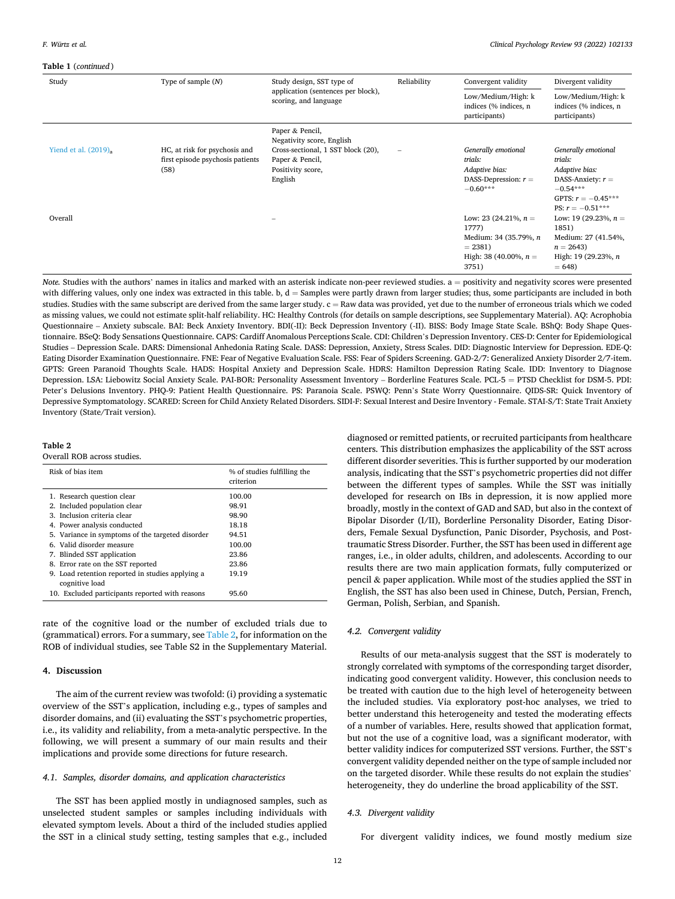| Study                              | Type of sample $(N)$                                                      | Study design, SST type of<br>application (sentences per block),<br>scoring, and language                                              | Reliability              | Convergent validity                                                                                       | Divergent validity                                                                                                                  |
|------------------------------------|---------------------------------------------------------------------------|---------------------------------------------------------------------------------------------------------------------------------------|--------------------------|-----------------------------------------------------------------------------------------------------------|-------------------------------------------------------------------------------------------------------------------------------------|
|                                    |                                                                           |                                                                                                                                       |                          | Low/Medium/High: k<br>indices (% indices, n<br>participants)                                              | Low/Medium/High: k<br>indices (% indices, n<br>participants)                                                                        |
| Yiend et al. $(2019)$ <sub>a</sub> | HC, at risk for psychosis and<br>first episode psychosis patients<br>(58) | Paper & Pencil,<br>Negativity score, English<br>Cross-sectional, 1 SST block (20),<br>Paper & Pencil,<br>Positivity score,<br>English | $\overline{\phantom{a}}$ | Generally emotional<br>trials:<br>Adaptive bias:<br>DASS-Depression: $r =$<br>$-0.60***$                  | Generally emotional<br>trials:<br>Adaptive bias:<br>DASS-Anxiety: $r =$<br>$-0.54***$<br>GPTS: $r = -0.45***$<br>$PS: r = -0.51***$ |
| Overall                            |                                                                           |                                                                                                                                       |                          | Low: 23 (24.21\%, $n =$<br>1777)<br>Medium: 34 (35.79%, n<br>$= 2381$<br>High: 38 (40.00%, $n =$<br>3751) | Low: 19 (29.23%, $n =$<br>1851)<br>Medium: 27 (41.54%,<br>$n = 2643$<br>High: $19(29.23\%, n$<br>$= 648$                            |

*Note.* Studies with the authors' names in italics and marked with an asterisk indicate non-peer reviewed studies. a = positivity and negativity scores were presented with differing values, only one index was extracted in this table. b, d = Samples were partly drawn from larger studies; thus, some participants are included in both studies. Studies with the same subscript are derived from the same larger study.  $c = Raw$  data was provided, yet due to the number of erroneous trials which we coded as missing values, we could not estimate split-half reliability. HC: Healthy Controls (for details on sample descriptions, see Supplementary Material). AQ: Acrophobia Questionnaire – Anxiety subscale. BAI: Beck Anxiety Inventory. BDI(-II): Beck Depression Inventory (-II). BISS: Body Image State Scale. BShQ: Body Shape Questionnaire. BSeQ: Body Sensations Questionnaire. CAPS: Cardiff Anomalous Perceptions Scale. CDI: Children's Depression Inventory. CES-D: Center for Epidemiological Studies – Depression Scale. DARS: Dimensional Anhedonia Rating Scale. DASS: Depression, Anxiety, Stress Scales. DID: Diagnostic Interview for Depression. EDE-Q: Eating Disorder Examination Questionnaire. FNE: Fear of Negative Evaluation Scale. FSS: Fear of Spiders Screening. GAD-2/7: Generalized Anxiety Disorder 2/7-item. GPTS: Green Paranoid Thoughts Scale. HADS: Hospital Anxiety and Depression Scale. HDRS: Hamilton Depression Rating Scale. IDD: Inventory to Diagnose Depression. LSA: Liebowitz Social Anxiety Scale. PAI-BOR: Personality Assessment Inventory – Borderline Features Scale. PCL-5 = PTSD Checklist for DSM-5. PDI: Peter's Delusions Inventory. PHQ-9: Patient Health Questionnaire. PS: Paranoia Scale. PSWQ: Penn's State Worry Questionnaire. QIDS-SR: Quick Inventory of Depressive Symptomatology. SCARED: Screen for Child Anxiety Related Disorders. SIDI-F: Sexual Interest and Desire Inventory - Female. STAI-S/T: State Trait Anxiety Inventory (State/Trait version).

#### **Table 2**

# Overall ROB across studies.

| Risk of bias item                                                  | % of studies fulfilling the<br>criterion |
|--------------------------------------------------------------------|------------------------------------------|
| 1. Research question clear                                         | 100.00                                   |
| 2. Included population clear                                       | 98.91                                    |
| 3. Inclusion criteria clear                                        | 98.90                                    |
| 4. Power analysis conducted                                        | 18.18                                    |
| 5. Variance in symptoms of the targeted disorder                   | 94.51                                    |
| 6. Valid disorder measure                                          | 100.00                                   |
| 7. Blinded SST application                                         | 23.86                                    |
| 8. Error rate on the SST reported                                  | 23.86                                    |
| 9. Load retention reported in studies applying a<br>cognitive load | 19.19                                    |
| 10. Excluded participants reported with reasons                    | 95.60                                    |

rate of the cognitive load or the number of excluded trials due to (grammatical) errors. For a summary, see Table 2, for information on the ROB of individual studies, see Table S2 in the Supplementary Material.

# **4. Discussion**

The aim of the current review was twofold: (i) providing a systematic overview of the SST's application, including e.g., types of samples and disorder domains, and (ii) evaluating the SST's psychometric properties, i.e., its validity and reliability, from a meta-analytic perspective. In the following, we will present a summary of our main results and their implications and provide some directions for future research.

# *4.1. Samples, disorder domains, and application characteristics*

The SST has been applied mostly in undiagnosed samples, such as unselected student samples or samples including individuals with elevated symptom levels. About a third of the included studies applied the SST in a clinical study setting, testing samples that e.g., included

diagnosed or remitted patients, or recruited participants from healthcare centers. This distribution emphasizes the applicability of the SST across different disorder severities. This is further supported by our moderation analysis, indicating that the SST's psychometric properties did not differ between the different types of samples. While the SST was initially developed for research on IBs in depression, it is now applied more broadly, mostly in the context of GAD and SAD, but also in the context of Bipolar Disorder (I/II), Borderline Personality Disorder, Eating Disorders, Female Sexual Dysfunction, Panic Disorder, Psychosis, and Posttraumatic Stress Disorder. Further, the SST has been used in different age ranges, i.e., in older adults, children, and adolescents. According to our results there are two main application formats, fully computerized or pencil & paper application. While most of the studies applied the SST in English, the SST has also been used in Chinese, Dutch, Persian, French, German, Polish, Serbian, and Spanish.

#### *4.2. Convergent validity*

Results of our meta-analysis suggest that the SST is moderately to strongly correlated with symptoms of the corresponding target disorder, indicating good convergent validity. However, this conclusion needs to be treated with caution due to the high level of heterogeneity between the included studies. Via exploratory post-hoc analyses, we tried to better understand this heterogeneity and tested the moderating effects of a number of variables. Here, results showed that application format, but not the use of a cognitive load, was a significant moderator, with better validity indices for computerized SST versions. Further, the SST's convergent validity depended neither on the type of sample included nor on the targeted disorder. While these results do not explain the studies' heterogeneity, they do underline the broad applicability of the SST.

#### *4.3. Divergent validity*

For divergent validity indices, we found mostly medium size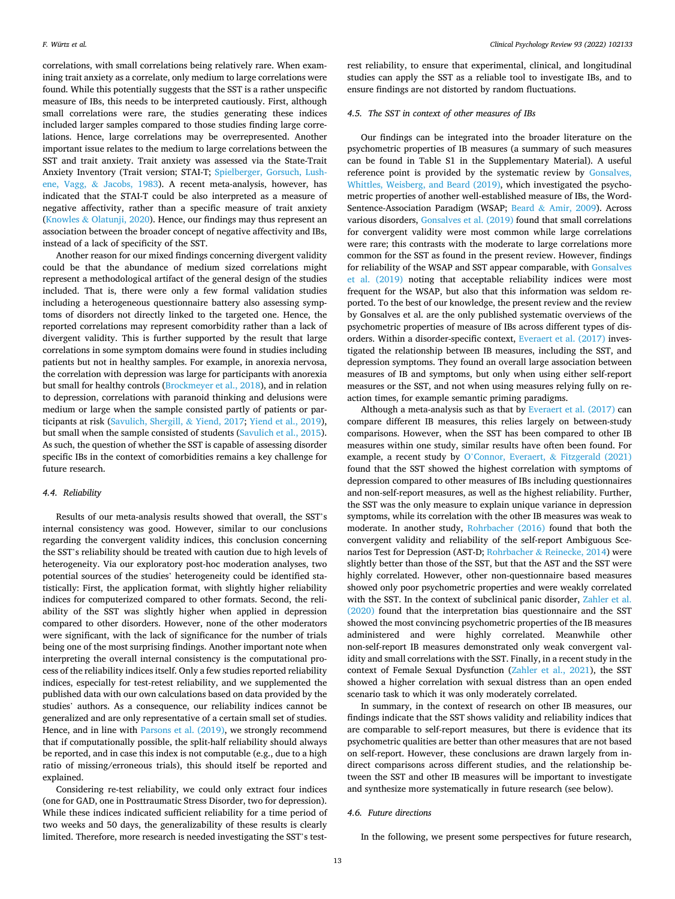correlations, with small correlations being relatively rare. When examining trait anxiety as a correlate, only medium to large correlations were found. While this potentially suggests that the SST is a rather unspecific measure of IBs, this needs to be interpreted cautiously. First, although small correlations were rare, the studies generating these indices included larger samples compared to those studies finding large correlations. Hence, large correlations may be overrepresented. Another important issue relates to the medium to large correlations between the SST and trait anxiety. Trait anxiety was assessed via the State-Trait Anxiety Inventory (Trait version; STAI-T; [Spielberger, Gorsuch, Lush](#page-18-0)ene, Vagg, & [Jacobs, 1983\)](#page-18-0). A recent meta-analysis, however, has indicated that the STAI-T could be also interpreted as a measure of negative affectivity, rather than a specific measure of trait anxiety (Knowles & [Olatunji, 2020](#page-17-0)). Hence, our findings may thus represent an association between the broader concept of negative affectivity and IBs, instead of a lack of specificity of the SST.

Another reason for our mixed findings concerning divergent validity could be that the abundance of medium sized correlations might represent a methodological artifact of the general design of the studies included. That is, there were only a few formal validation studies including a heterogeneous questionnaire battery also assessing symptoms of disorders not directly linked to the targeted one. Hence, the reported correlations may represent comorbidity rather than a lack of divergent validity. This is further supported by the result that large correlations in some symptom domains were found in studies including patients but not in healthy samples. For example, in anorexia nervosa, the correlation with depression was large for participants with anorexia but small for healthy controls [\(Brockmeyer et al., 2018\)](#page-17-0), and in relation to depression, correlations with paranoid thinking and delusions were medium or large when the sample consisted partly of patients or participants at risk ([Savulich, Shergill,](#page-18-0) & Yiend, 2017; [Yiend et al., 2019](#page-18-0)), but small when the sample consisted of students ([Savulich et al., 2015](#page-18-0)). As such, the question of whether the SST is capable of assessing disorder specific IBs in the context of comorbidities remains a key challenge for future research.

# *4.4. Reliability*

Results of our meta-analysis results showed that overall, the SST's internal consistency was good. However, similar to our conclusions regarding the convergent validity indices, this conclusion concerning the SST's reliability should be treated with caution due to high levels of heterogeneity. Via our exploratory post-hoc moderation analyses, two potential sources of the studies' heterogeneity could be identified statistically: First, the application format, with slightly higher reliability indices for computerized compared to other formats. Second, the reliability of the SST was slightly higher when applied in depression compared to other disorders. However, none of the other moderators were significant, with the lack of significance for the number of trials being one of the most surprising findings. Another important note when interpreting the overall internal consistency is the computational process of the reliability indices itself. Only a few studies reported reliability indices, especially for test-retest reliability, and we supplemented the published data with our own calculations based on data provided by the studies' authors. As a consequence, our reliability indices cannot be generalized and are only representative of a certain small set of studies. Hence, and in line with [Parsons et al. \(2019\)](#page-18-0), we strongly recommend that if computationally possible, the split-half reliability should always be reported, and in case this index is not computable (e.g., due to a high ratio of missing/erroneous trials), this should itself be reported and explained.

Considering re-test reliability, we could only extract four indices (one for GAD, one in Posttraumatic Stress Disorder, two for depression). While these indices indicated sufficient reliability for a time period of two weeks and 50 days, the generalizability of these results is clearly limited. Therefore, more research is needed investigating the SST's testrest reliability, to ensure that experimental, clinical, and longitudinal studies can apply the SST as a reliable tool to investigate IBs, and to ensure findings are not distorted by random fluctuations.

# *4.5. The SST in context of other measures of IBs*

Our findings can be integrated into the broader literature on the psychometric properties of IB measures (a summary of such measures can be found in Table S1 in the Supplementary Material). A useful reference point is provided by the systematic review by [Gonsalves,](#page-17-0)  [Whittles, Weisberg, and Beard \(2019\),](#page-17-0) which investigated the psychometric properties of another well-established measure of IBs, the Word-Sentence-Association Paradigm (WSAP; Beard & [Amir, 2009](#page-17-0)). Across various disorders, [Gonsalves et al. \(2019\)](#page-17-0) found that small correlations for convergent validity were most common while large correlations were rare; this contrasts with the moderate to large correlations more common for the SST as found in the present review. However, findings for reliability of the WSAP and SST appear comparable, with [Gonsalves](#page-17-0)  [et al. \(2019\)](#page-17-0) noting that acceptable reliability indices were most frequent for the WSAP, but also that this information was seldom reported. To the best of our knowledge, the present review and the review by Gonsalves et al. are the only published systematic overviews of the psychometric properties of measure of IBs across different types of disorders. Within a disorder-specific context, [Everaert et al. \(2017\)](#page-17-0) investigated the relationship between IB measures, including the SST, and depression symptoms. They found an overall large association between measures of IB and symptoms, but only when using either self-report measures or the SST, and not when using measures relying fully on reaction times, for example semantic priming paradigms.

Although a meta-analysis such as that by [Everaert et al. \(2017\)](#page-17-0) can compare different IB measures, this relies largely on between-study comparisons. However, when the SST has been compared to other IB measures within one study, similar results have often been found. For example, a recent study by O'[Connor, Everaert,](#page-18-0) & Fitzgerald (2021) found that the SST showed the highest correlation with symptoms of depression compared to other measures of IBs including questionnaires and non-self-report measures, as well as the highest reliability. Further, the SST was the only measure to explain unique variance in depression symptoms, while its correlation with the other IB measures was weak to moderate. In another study, [Rohrbacher \(2016\)](#page-18-0) found that both the convergent validity and reliability of the self-report Ambiguous Scenarios Test for Depression (AST-D; Rohrbacher & [Reinecke, 2014](#page-18-0)) were slightly better than those of the SST, but that the AST and the SST were highly correlated. However, other non-questionnaire based measures showed only poor psychometric properties and were weakly correlated with the SST. In the context of subclinical panic disorder, [Zahler et al.](#page-18-0)  [\(2020\)](#page-18-0) found that the interpretation bias questionnaire and the SST showed the most convincing psychometric properties of the IB measures administered and were highly correlated. Meanwhile other non-self-report IB measures demonstrated only weak convergent validity and small correlations with the SST. Finally, in a recent study in the context of Female Sexual Dysfunction ([Zahler et al., 2021\)](#page-18-0), the SST showed a higher correlation with sexual distress than an open ended scenario task to which it was only moderately correlated.

In summary, in the context of research on other IB measures, our findings indicate that the SST shows validity and reliability indices that are comparable to self-report measures, but there is evidence that its psychometric qualities are better than other measures that are not based on self-report. However, these conclusions are drawn largely from indirect comparisons across different studies, and the relationship between the SST and other IB measures will be important to investigate and synthesize more systematically in future research (see below).

# *4.6. Future directions*

In the following, we present some perspectives for future research,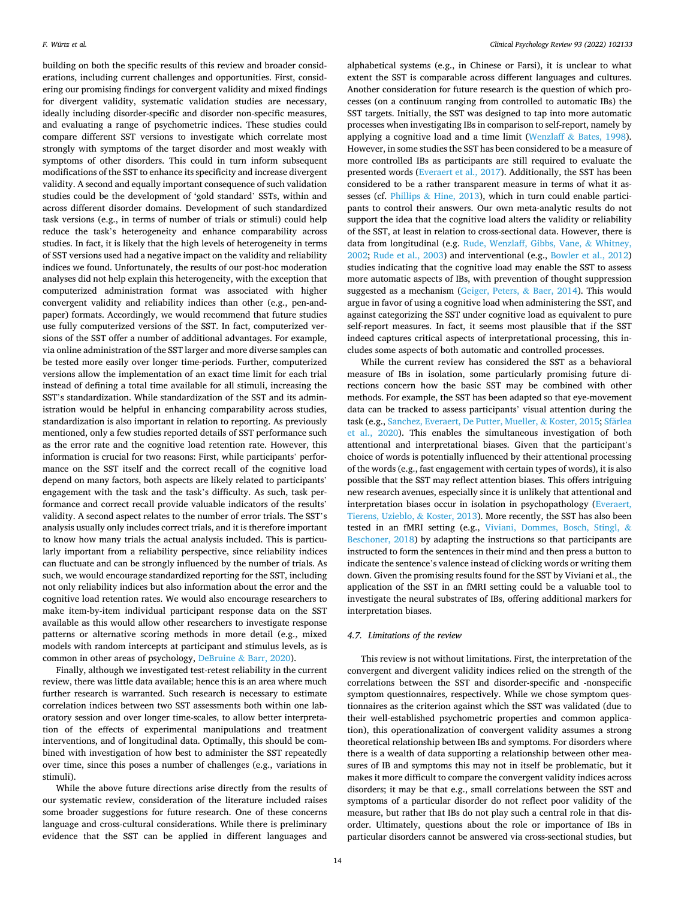building on both the specific results of this review and broader considerations, including current challenges and opportunities. First, considering our promising findings for convergent validity and mixed findings for divergent validity, systematic validation studies are necessary, ideally including disorder-specific and disorder non-specific measures, and evaluating a range of psychometric indices. These studies could compare different SST versions to investigate which correlate most strongly with symptoms of the target disorder and most weakly with symptoms of other disorders. This could in turn inform subsequent modifications of the SST to enhance its specificity and increase divergent validity. A second and equally important consequence of such validation studies could be the development of 'gold standard' SSTs, within and across different disorder domains. Development of such standardized task versions (e.g., in terms of number of trials or stimuli) could help reduce the task's heterogeneity and enhance comparability across studies. In fact, it is likely that the high levels of heterogeneity in terms of SST versions used had a negative impact on the validity and reliability indices we found. Unfortunately, the results of our post-hoc moderation analyses did not help explain this heterogeneity, with the exception that computerized administration format was associated with higher convergent validity and reliability indices than other (e.g., pen-andpaper) formats. Accordingly, we would recommend that future studies use fully computerized versions of the SST. In fact, computerized versions of the SST offer a number of additional advantages. For example, via online administration of the SST larger and more diverse samples can be tested more easily over longer time-periods. Further, computerized versions allow the implementation of an exact time limit for each trial instead of defining a total time available for all stimuli, increasing the SST's standardization. While standardization of the SST and its administration would be helpful in enhancing comparability across studies, standardization is also important in relation to reporting. As previously mentioned, only a few studies reported details of SST performance such as the error rate and the cognitive load retention rate. However, this information is crucial for two reasons: First, while participants' performance on the SST itself and the correct recall of the cognitive load depend on many factors, both aspects are likely related to participants' engagement with the task and the task's difficulty. As such, task performance and correct recall provide valuable indicators of the results' validity. A second aspect relates to the number of error trials. The SST's analysis usually only includes correct trials, and it is therefore important to know how many trials the actual analysis included. This is particularly important from a reliability perspective, since reliability indices can fluctuate and can be strongly influenced by the number of trials. As such, we would encourage standardized reporting for the SST, including not only reliability indices but also information about the error and the cognitive load retention rates. We would also encourage researchers to make item-by-item individual participant response data on the SST available as this would allow other researchers to investigate response patterns or alternative scoring methods in more detail (e.g., mixed models with random intercepts at participant and stimulus levels, as is common in other areas of psychology, DeBruine & [Barr, 2020](#page-17-0)).

Finally, although we investigated test-retest reliability in the current review, there was little data available; hence this is an area where much further research is warranted. Such research is necessary to estimate correlation indices between two SST assessments both within one laboratory session and over longer time-scales, to allow better interpretation of the effects of experimental manipulations and treatment interventions, and of longitudinal data. Optimally, this should be combined with investigation of how best to administer the SST repeatedly over time, since this poses a number of challenges (e.g., variations in stimuli).

While the above future directions arise directly from the results of our systematic review, consideration of the literature included raises some broader suggestions for future research. One of these concerns language and cross-cultural considerations. While there is preliminary evidence that the SST can be applied in different languages and

alphabetical systems (e.g., in Chinese or Farsi), it is unclear to what extent the SST is comparable across different languages and cultures. Another consideration for future research is the question of which processes (on a continuum ranging from controlled to automatic IBs) the SST targets. Initially, the SST was designed to tap into more automatic processes when investigating IBs in comparison to self-report, namely by applying a cognitive load and a time limit (Wenzlaff & [Bates, 1998](#page-18-0)). However, in some studies the SST has been considered to be a measure of more controlled IBs as participants are still required to evaluate the presented words ([Everaert et al., 2017\)](#page-17-0). Additionally, the SST has been considered to be a rather transparent measure in terms of what it assesses (cf. Phillips & [Hine, 2013](#page-18-0)), which in turn could enable participants to control their answers. Our own meta-analytic results do not support the idea that the cognitive load alters the validity or reliability of the SST, at least in relation to cross-sectional data. However, there is data from longitudinal (e.g. [Rude, Wenzlaff, Gibbs, Vane,](#page-18-0) & Whitney, [2002;](#page-18-0) [Rude et al., 2003](#page-18-0)) and interventional (e.g., [Bowler et al., 2012\)](#page-17-0) studies indicating that the cognitive load may enable the SST to assess more automatic aspects of IBs, with prevention of thought suppression suggested as a mechanism ([Geiger, Peters,](#page-17-0) & Baer, 2014). This would argue in favor of using a cognitive load when administering the SST, and against categorizing the SST under cognitive load as equivalent to pure self-report measures. In fact, it seems most plausible that if the SST indeed captures critical aspects of interpretational processing, this includes some aspects of both automatic and controlled processes.

While the current review has considered the SST as a behavioral measure of IBs in isolation, some particularly promising future directions concern how the basic SST may be combined with other methods. For example, the SST has been adapted so that eye-movement data can be tracked to assess participants' visual attention during the task (e.g., [Sanchez, Everaert, De Putter, Mueller,](#page-18-0) & Koster, 2015; Sfärlea [et al., 2020\)](#page-18-0). This enables the simultaneous investigation of both attentional and interpretational biases. Given that the participant's choice of words is potentially influenced by their attentional processing of the words (e.g., fast engagement with certain types of words), it is also possible that the SST may reflect attention biases. This offers intriguing new research avenues, especially since it is unlikely that attentional and interpretation biases occur in isolation in psychopathology ([Everaert,](#page-17-0)  [Tierens, Uzieblo,](#page-17-0) & Koster, 2013). More recently, the SST has also been tested in an fMRI setting (e.g., [Viviani, Dommes, Bosch, Stingl,](#page-18-0) & [Beschoner, 2018\)](#page-18-0) by adapting the instructions so that participants are instructed to form the sentences in their mind and then press a button to indicate the sentence's valence instead of clicking words or writing them down. Given the promising results found for the SST by Viviani et al., the application of the SST in an fMRI setting could be a valuable tool to investigate the neural substrates of IBs, offering additional markers for interpretation biases.

# *4.7. Limitations of the review*

This review is not without limitations. First, the interpretation of the convergent and divergent validity indices relied on the strength of the correlations between the SST and disorder-specific and -nonspecific symptom questionnaires, respectively. While we chose symptom questionnaires as the criterion against which the SST was validated (due to their well-established psychometric properties and common application), this operationalization of convergent validity assumes a strong theoretical relationship between IBs and symptoms. For disorders where there is a wealth of data supporting a relationship between other measures of IB and symptoms this may not in itself be problematic, but it makes it more difficult to compare the convergent validity indices across disorders; it may be that e.g., small correlations between the SST and symptoms of a particular disorder do not reflect poor validity of the measure, but rather that IBs do not play such a central role in that disorder. Ultimately, questions about the role or importance of IBs in particular disorders cannot be answered via cross-sectional studies, but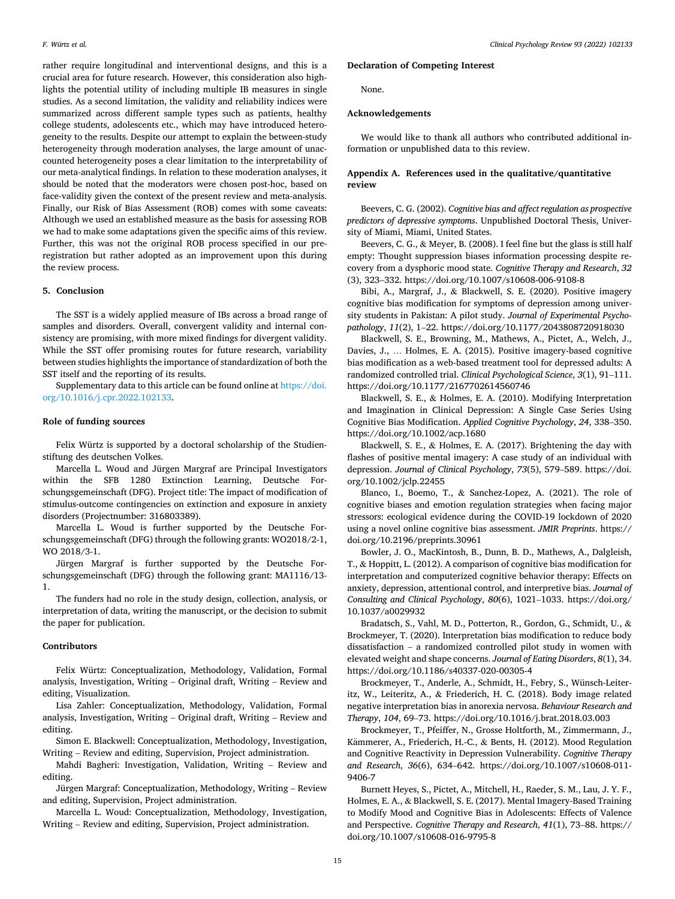rather require longitudinal and interventional designs, and this is a crucial area for future research. However, this consideration also highlights the potential utility of including multiple IB measures in single studies. As a second limitation, the validity and reliability indices were summarized across different sample types such as patients, healthy college students, adolescents etc., which may have introduced heterogeneity to the results. Despite our attempt to explain the between-study heterogeneity through moderation analyses, the large amount of unaccounted heterogeneity poses a clear limitation to the interpretability of our meta-analytical findings. In relation to these moderation analyses, it should be noted that the moderators were chosen post-hoc, based on face-validity given the context of the present review and meta-analysis. Finally, our Risk of Bias Assessment (ROB) comes with some caveats: Although we used an established measure as the basis for assessing ROB we had to make some adaptations given the specific aims of this review. Further, this was not the original ROB process specified in our preregistration but rather adopted as an improvement upon this during the review process.

# **5. Conclusion**

The SST is a widely applied measure of IBs across a broad range of samples and disorders. Overall, convergent validity and internal consistency are promising, with more mixed findings for divergent validity. While the SST offer promising routes for future research, variability between studies highlights the importance of standardization of both the SST itself and the reporting of its results.

Supplementary data to this article can be found online at [https://doi.](https://doi.org/10.1016/j.cpr.2022.102133)  [org/10.1016/j.cpr.2022.102133](https://doi.org/10.1016/j.cpr.2022.102133).

#### **Role of funding sources**

Felix Würtz is supported by a doctoral scholarship of the Studienstiftung des deutschen Volkes.

Marcella L. Woud and Jürgen Margraf are Principal Investigators within the SFB 1280 Extinction Learning, Deutsche Forschungsgemeinschaft (DFG). Project title: The impact of modification of stimulus-outcome contingencies on extinction and exposure in anxiety disorders (Projectnumber: 316803389).

Marcella L. Woud is further supported by the Deutsche Forschungsgemeinschaft (DFG) through the following grants: WO2018/2-1, WO 2018/3-1.

Jürgen Margraf is further supported by the Deutsche Forschungsgemeinschaft (DFG) through the following grant: MA1116/13- 1.

The funders had no role in the study design, collection, analysis, or interpretation of data, writing the manuscript, or the decision to submit the paper for publication.

#### **Contributors**

Felix Würtz: Conceptualization, Methodology, Validation, Formal analysis, Investigation, Writing – Original draft, Writing – Review and editing, Visualization.

Lisa Zahler: Conceptualization, Methodology, Validation, Formal analysis, Investigation, Writing – Original draft, Writing – Review and editing.

Simon E. Blackwell: Conceptualization, Methodology, Investigation, Writing – Review and editing, Supervision, Project administration.

Mahdi Bagheri: Investigation, Validation, Writing – Review and editing.

Jürgen Margraf: Conceptualization, Methodology, Writing – Review and editing, Supervision, Project administration.

Marcella L. Woud: Conceptualization, Methodology, Investigation, Writing – Review and editing, Supervision, Project administration.

# **Declaration of Competing Interest**

None.

# **Acknowledgements**

We would like to thank all authors who contributed additional information or unpublished data to this review.

# **Appendix A. References used in the qualitative/quantitative review**

Beevers, C. G. (2002). *Cognitive bias and affect regulation as prospective predictors of depressive symptoms*. Unpublished Doctoral Thesis, University of Miami, Miami, United States.

Beevers, C. G., & Meyer, B. (2008). I feel fine but the glass is still half empty: Thought suppression biases information processing despite recovery from a dysphoric mood state. *Cognitive Therapy and Research*, *32*  (3), 323–332. https://doi.org/10.1007/s10608-006-9108-8

Bibi, A., Margraf, J., & Blackwell, S. E. (2020). Positive imagery cognitive bias modification for symptoms of depression among university students in Pakistan: A pilot study. *Journal of Experimental Psychopathology*, *11*(2), 1–22. https://doi.org/10.1177/2043808720918030

Blackwell, S. E., Browning, M., Mathews, A., Pictet, A., Welch, J., Davies, J., … Holmes, E. A. (2015). Positive imagery-based cognitive bias modification as a web-based treatment tool for depressed adults: A randomized controlled trial. *Clinical Psychological Science*, *3*(1), 91–111. https://doi.org/10.1177/2167702614560746

Blackwell, S. E., & Holmes, E. A. (2010). Modifying Interpretation and Imagination in Clinical Depression: A Single Case Series Using Cognitive Bias Modification. *Applied Cognitive Psychology*, *24*, 338–350. https://doi.org/10.1002/acp.1680

Blackwell, S. E., & Holmes, E. A. (2017). Brightening the day with flashes of positive mental imagery: A case study of an individual with depression. *Journal of Clinical Psychology*, *73*(5), 579–589. https://doi. org/10.1002/jclp.22455

Blanco, I., Boemo, T., & Sanchez-Lopez, A. (2021). The role of cognitive biases and emotion regulation strategies when facing major stressors: ecological evidence during the COVID-19 lockdown of 2020 using a novel online cognitive bias assessment. *JMIR Preprints*. https:// doi.org/10.2196/preprints.30961

Bowler, J. O., MacKintosh, B., Dunn, B. D., Mathews, A., Dalgleish, T., & Hoppitt, L. (2012). A comparison of cognitive bias modification for interpretation and computerized cognitive behavior therapy: Effects on anxiety, depression, attentional control, and interpretive bias. *Journal of Consulting and Clinical Psychology*, *80*(6), 1021–1033. https://doi.org/ 10.1037/a0029932

Bradatsch, S., Vahl, M. D., Potterton, R., Gordon, G., Schmidt, U., & Brockmeyer, T. (2020). Interpretation bias modification to reduce body dissatisfaction – a randomized controlled pilot study in women with elevated weight and shape concerns. *Journal of Eating Disorders*, *8*(1), 34. https://doi.org/10.1186/s40337-020-00305-4

Brockmeyer, T., Anderle, A., Schmidt, H., Febry, S., Wünsch-Leiteritz, W., Leiteritz, A., & Friederich, H. C. (2018). Body image related negative interpretation bias in anorexia nervosa. *Behaviour Research and Therapy*, *104*, 69–73. https://doi.org/10.1016/j.brat.2018.03.003

Brockmeyer, T., Pfeiffer, N., Grosse Holtforth, M., Zimmermann, J., Kämmerer, A., Friederich, H.-C., & Bents, H. (2012). Mood Regulation and Cognitive Reactivity in Depression Vulnerability. *Cognitive Therapy and Research*, *36*(6), 634–642. https://doi.org/10.1007/s10608-011- 9406-7

Burnett Heyes, S., Pictet, A., Mitchell, H., Raeder, S. M., Lau, J. Y. F., Holmes, E. A., & Blackwell, S. E. (2017). Mental Imagery-Based Training to Modify Mood and Cognitive Bias in Adolescents: Effects of Valence and Perspective. *Cognitive Therapy and Research*, *41*(1), 73–88. https:// doi.org/10.1007/s10608-016-9795-8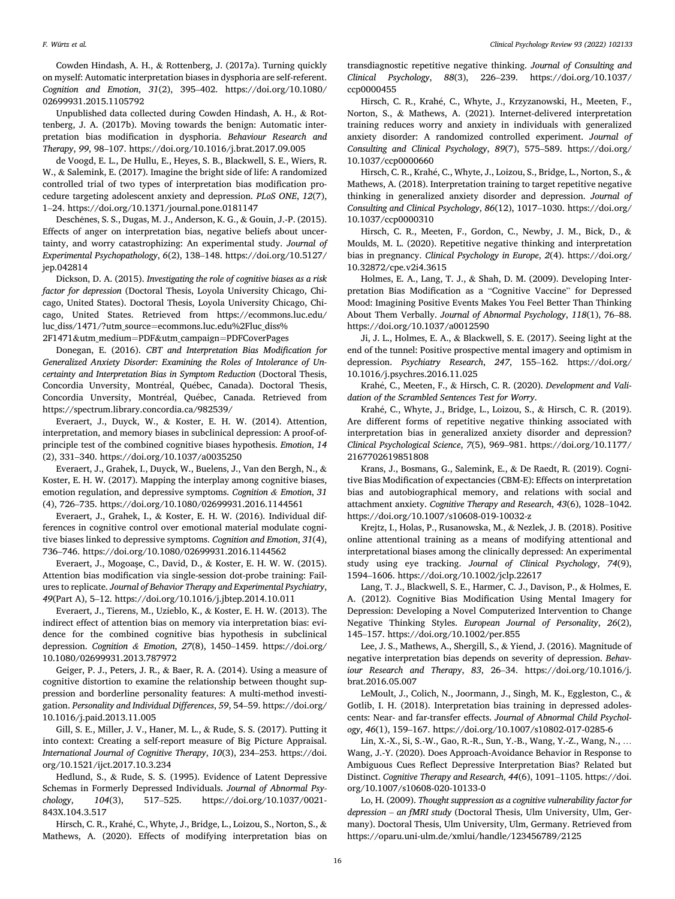Cowden Hindash, A. H., & Rottenberg, J. (2017a). Turning quickly on myself: Automatic interpretation biases in dysphoria are self-referent. *Cognition and Emotion*, *31*(2), 395–402. https://doi.org/10.1080/ 02699931.2015.1105792

Unpublished data collected during Cowden Hindash, A. H., & Rottenberg, J. A. (2017b). Moving towards the benign: Automatic interpretation bias modification in dysphoria. *Behaviour Research and Therapy*, *99*, 98–107. https://doi.org/10.1016/j.brat.2017.09.005

de Voogd, E. L., De Hullu, E., Heyes, S. B., Blackwell, S. E., Wiers, R. W., & Salemink, E. (2017). Imagine the bright side of life: A randomized controlled trial of two types of interpretation bias modification procedure targeting adolescent anxiety and depression. *PLoS ONE*, *12*(7), 1–24. https://doi.org/10.1371/journal.pone.0181147

Deschênes, S. S., Dugas, M. J., Anderson, K. G., & Gouin, J.-P. (2015). Effects of anger on interpretation bias, negative beliefs about uncertainty, and worry catastrophizing: An experimental study. *Journal of Experimental Psychopathology*, *6*(2), 138–148. https://doi.org/10.5127/ jep.042814

Dickson, D. A. (2015). *Investigating the role of cognitive biases as a risk factor for depression* (Doctoral Thesis, Loyola University Chicago, Chicago, United States). Doctoral Thesis, Loyola University Chicago, Chicago, United States. Retrieved from https://ecommons.luc.edu/ luc\_diss/1471/?utm\_source=ecommons.luc.edu%2Fluc\_diss% 2F1471&utm\_medium=PDF&utm\_campaign=PDFCoverPages

Donegan, E. (2016). *CBT and Interpretation Bias Modification for Generalized Anxiety Disorder: Examining the Roles of Intolerance of Uncertainty and Interpretation Bias in Symptom Reduction* (Doctoral Thesis, Concordia Unversity, Montréal, Québec, Canada). Doctoral Thesis, Concordia Unversity, Montréal, Québec, Canada. Retrieved from https://spectrum.library.concordia.ca/982539/

Everaert, J., Duyck, W., & Koster, E. H. W. (2014). Attention, interpretation, and memory biases in subclinical depression: A proof-ofprinciple test of the combined cognitive biases hypothesis. *Emotion*, *14*  (2), 331–340. https://doi.org/10.1037/a0035250

Everaert, J., Grahek, I., Duyck, W., Buelens, J., Van den Bergh, N., & Koster, E. H. W. (2017). Mapping the interplay among cognitive biases, emotion regulation, and depressive symptoms. *Cognition & Emotion*, *31*  (4), 726–735. https://doi.org/10.1080/02699931.2016.1144561

Everaert, J., Grahek, I., & Koster, E. H. W. (2016). Individual differences in cognitive control over emotional material modulate cognitive biases linked to depressive symptoms. *Cognition and Emotion*, *31*(4), 736–746. https://doi.org/10.1080/02699931.2016.1144562

Everaert, J., Mogoase, C., David, D., & Koster, E. H. W. W. (2015). Attention bias modification via single-session dot-probe training: Failures to replicate. *Journal of Behavior Therapy and Experimental Psychiatry*, *49*(Part A), 5–12. https://doi.org/10.1016/j.jbtep.2014.10.011

Everaert, J., Tierens, M., Uzieblo, K., & Koster, E. H. W. (2013). The indirect effect of attention bias on memory via interpretation bias: evidence for the combined cognitive bias hypothesis in subclinical depression. *Cognition & Emotion*, *27*(8), 1450–1459. https://doi.org/ 10.1080/02699931.2013.787972

Geiger, P. J., Peters, J. R., & Baer, R. A. (2014). Using a measure of cognitive distortion to examine the relationship between thought suppression and borderline personality features: A multi-method investigation. *Personality and Individual Differences*, *59*, 54–59. https://doi.org/ 10.1016/j.paid.2013.11.005

Gill, S. E., Miller, J. V., Haner, M. L., & Rude, S. S. (2017). Putting it into context: Creating a self-report measure of Big Picture Appraisal. *International Journal of Cognitive Therapy*, *10*(3), 234–253. https://doi. org/10.1521/ijct.2017.10.3.234

Hedlund, S., & Rude, S. S. (1995). Evidence of Latent Depressive Schemas in Formerly Depressed Individuals. *Journal of Abnormal Psychology*, *104*(3), 517–525. https://doi.org/10.1037/0021- 843X.104.3.517

Hirsch, C. R., Krahé, C., Whyte, J., Bridge, L., Loizou, S., Norton, S., & Mathews, A. (2020). Effects of modifying interpretation bias on

transdiagnostic repetitive negative thinking. *Journal of Consulting and Clinical Psychology*, *88*(3), 226–239. https://doi.org/10.1037/ ccp0000455

Hirsch, C. R., Krahé, C., Whyte, J., Krzyzanowski, H., Meeten, F., Norton, S., & Mathews, A. (2021). Internet-delivered interpretation training reduces worry and anxiety in individuals with generalized anxiety disorder: A randomized controlled experiment. *Journal of Consulting and Clinical Psychology*, *89*(7), 575–589. https://doi.org/ 10.1037/ccp0000660

Hirsch, C. R., Krahé, C., Whyte, J., Loizou, S., Bridge, L., Norton, S., & Mathews, A. (2018). Interpretation training to target repetitive negative thinking in generalized anxiety disorder and depression. *Journal of Consulting and Clinical Psychology*, *86*(12), 1017–1030. https://doi.org/ 10.1037/ccp0000310

Hirsch, C. R., Meeten, F., Gordon, C., Newby, J. M., Bick, D., & Moulds, M. L. (2020). Repetitive negative thinking and interpretation bias in pregnancy. *Clinical Psychology in Europe*, *2*(4). https://doi.org/ 10.32872/cpe.v2i4.3615

Holmes, E. A., Lang, T. J., & Shah, D. M. (2009). Developing Interpretation Bias Modification as a "Cognitive Vaccine" for Depressed Mood: Imagining Positive Events Makes You Feel Better Than Thinking About Them Verbally. *Journal of Abnormal Psychology*, *118*(1), 76–88. https://doi.org/10.1037/a0012590

Ji, J. L., Holmes, E. A., & Blackwell, S. E. (2017). Seeing light at the end of the tunnel: Positive prospective mental imagery and optimism in depression. *Psychiatry Research*, *247*, 155–162. https://doi.org/ 10.1016/j.psychres.2016.11.025

Krahé, C., Meeten, F., & Hirsch, C. R. (2020). *Development and Validation of the Scrambled Sentences Test for Worry*.

Krahé, C., Whyte, J., Bridge, L., Loizou, S., & Hirsch, C. R. (2019). Are different forms of repetitive negative thinking associated with interpretation bias in generalized anxiety disorder and depression? *Clinical Psychological Science*, *7*(5), 969–981. https://doi.org/10.1177/ 2167702619851808

Krans, J., Bosmans, G., Salemink, E., & De Raedt, R. (2019). Cognitive Bias Modification of expectancies (CBM-E): Effects on interpretation bias and autobiographical memory, and relations with social and attachment anxiety. *Cognitive Therapy and Research*, *43*(6), 1028–1042. https://doi.org/10.1007/s10608-019-10032-z

Krejtz, I., Holas, P., Rusanowska, M., & Nezlek, J. B. (2018). Positive online attentional training as a means of modifying attentional and interpretational biases among the clinically depressed: An experimental study using eye tracking. *Journal of Clinical Psychology*, *74*(9), 1594–1606. https://doi.org/10.1002/jclp.22617

Lang, T. J., Blackwell, S. E., Harmer, C. J., Davison, P., & Holmes, E. A. (2012). Cognitive Bias Modification Using Mental Imagery for Depression: Developing a Novel Computerized Intervention to Change Negative Thinking Styles. *European Journal of Personality*, *26*(2), 145–157. https://doi.org/10.1002/per.855

Lee, J. S., Mathews, A., Shergill, S., & Yiend, J. (2016). Magnitude of negative interpretation bias depends on severity of depression. *Behaviour Research and Therapy*, *83*, 26–34. https://doi.org/10.1016/j. brat.2016.05.007

LeMoult, J., Colich, N., Joormann, J., Singh, M. K., Eggleston, C., & Gotlib, I. H. (2018). Interpretation bias training in depressed adolescents: Near- and far-transfer effects. *Journal of Abnormal Child Psychology*, *46*(1), 159–167. https://doi.org/10.1007/s10802-017-0285-6

Lin, X.-X., Si, S.-W., Gao, R.-R., Sun, Y.-B., Wang, Y.-Z., Wang, N., … Wang, J.-Y. (2020). Does Approach-Avoidance Behavior in Response to Ambiguous Cues Reflect Depressive Interpretation Bias? Related but Distinct. *Cognitive Therapy and Research*, *44*(6), 1091–1105. https://doi. org/10.1007/s10608-020-10133-0

Lo, H. (2009). *Thought suppression as a cognitive vulnerability factor for depression* – *an fMRI study* (Doctoral Thesis, Ulm University, Ulm, Germany). Doctoral Thesis, Ulm University, Ulm, Germany. Retrieved from https://oparu.uni-ulm.de/xmlui/handle/123456789/2125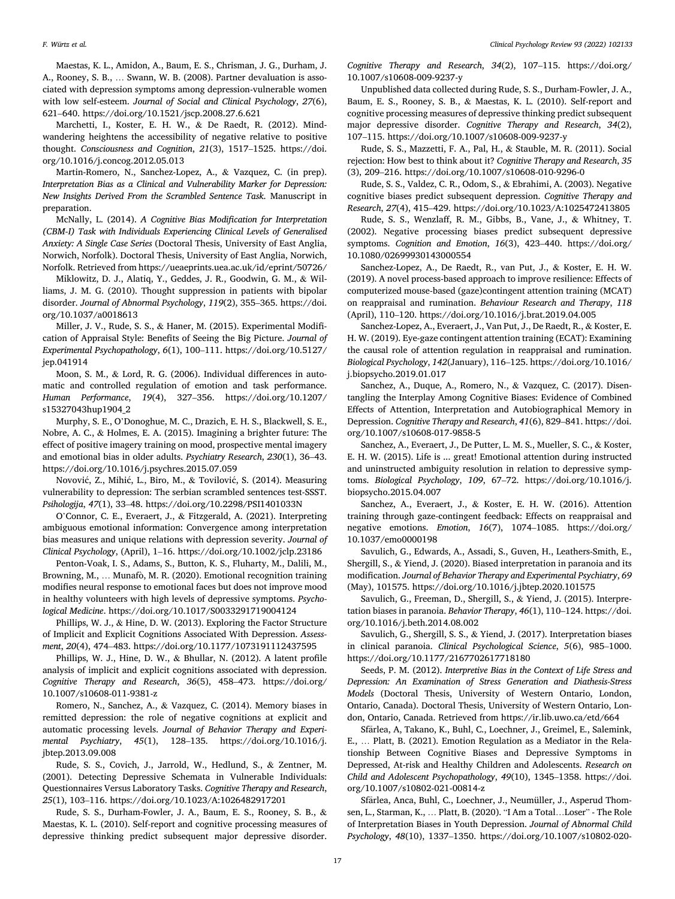Maestas, K. L., Amidon, A., Baum, E. S., Chrisman, J. G., Durham, J. A., Rooney, S. B., … Swann, W. B. (2008). Partner devaluation is associated with depression symptoms among depression-vulnerable women with low self-esteem. *Journal of Social and Clinical Psychology*, *27*(6), 621–640. https://doi.org/10.1521/jscp.2008.27.6.621

Marchetti, I., Koster, E. H. W., & De Raedt, R. (2012). Mindwandering heightens the accessibility of negative relative to positive thought. *Consciousness and Cognition*, *21*(3), 1517–1525. https://doi. org/10.1016/j.concog.2012.05.013

Martin-Romero, N., Sanchez-Lopez, A., & Vazquez, C. (in prep). *Interpretation Bias as a Clinical and Vulnerability Marker for Depression: New Insights Derived From the Scrambled Sentence Task.* Manuscript in preparation.

McNally, L. (2014). *A Cognitive Bias Modification for Interpretation (CBM-I) Task with Individuals Experiencing Clinical Levels of Generalised Anxiety: A Single Case Series* (Doctoral Thesis, University of East Anglia, Norwich, Norfolk). Doctoral Thesis, University of East Anglia, Norwich, Norfolk. Retrieved from https://ueaeprints.uea.ac.uk/id/eprint/50726/

Miklowitz, D. J., Alatiq, Y., Geddes, J. R., Goodwin, G. M., & Williams, J. M. G. (2010). Thought suppression in patients with bipolar disorder. *Journal of Abnormal Psychology*, *119*(2), 355–365. https://doi. org/10.1037/a0018613

Miller, J. V., Rude, S. S., & Haner, M. (2015). Experimental Modification of Appraisal Style: Benefits of Seeing the Big Picture. *Journal of Experimental Psychopathology*, *6*(1), 100–111. https://doi.org/10.5127/ jep.041914

Moon, S. M., & Lord, R. G. (2006). Individual differences in automatic and controlled regulation of emotion and task performance. *Human Performance*, *19*(4), 327–356. https://doi.org/10.1207/ s15327043hup1904\_2

Murphy, S. E., O'Donoghue, M. C., Drazich, E. H. S., Blackwell, S. E., Nobre, A. C., & Holmes, E. A. (2015). Imagining a brighter future: The effect of positive imagery training on mood, prospective mental imagery and emotional bias in older adults. *Psychiatry Research*, *230*(1), 36–43. https://doi.org/10.1016/j.psychres.2015.07.059

Novović, Z., Mihić, L., Biro, M., & Tovilović, S. (2014). Measuring vulnerability to depression: The serbian scrambled sentences test-SSST. *Psihologija*, *47*(1), 33–48. https://doi.org/10.2298/PSI1401033N

O'Connor, C. E., Everaert, J., & Fitzgerald, A. (2021). Interpreting ambiguous emotional information: Convergence among interpretation bias measures and unique relations with depression severity. *Journal of Clinical Psychology*, (April), 1–16. https://doi.org/10.1002/jclp.23186

Penton-Voak, I. S., Adams, S., Button, K. S., Fluharty, M., Dalili, M., Browning, M., ... Munafò, M. R. (2020). Emotional recognition training modifies neural response to emotional faces but does not improve mood in healthy volunteers with high levels of depressive symptoms. *Psychological Medicine*. https://doi.org/10.1017/S0033291719004124

Phillips, W. J., & Hine, D. W. (2013). Exploring the Factor Structure of Implicit and Explicit Cognitions Associated With Depression. *Assessment*, *20*(4), 474–483. https://doi.org/10.1177/1073191112437595

Phillips, W. J., Hine, D. W., & Bhullar, N. (2012). A latent profile analysis of implicit and explicit cognitions associated with depression. *Cognitive Therapy and Research*, *36*(5), 458–473. https://doi.org/ 10.1007/s10608-011-9381-z

Romero, N., Sanchez, A., & Vazquez, C. (2014). Memory biases in remitted depression: the role of negative cognitions at explicit and automatic processing levels. *Journal of Behavior Therapy and Experimental Psychiatry*, *45*(1), 128–135. https://doi.org/10.1016/j. jbtep.2013.09.008

Rude, S. S., Covich, J., Jarrold, W., Hedlund, S., & Zentner, M. (2001). Detecting Depressive Schemata in Vulnerable Individuals: Questionnaires Versus Laboratory Tasks. *Cognitive Therapy and Research*, *25*(1), 103–116. https://doi.org/10.1023/A:1026482917201

Rude, S. S., Durham-Fowler, J. A., Baum, E. S., Rooney, S. B., & Maestas, K. L. (2010). Self-report and cognitive processing measures of depressive thinking predict subsequent major depressive disorder.

*Cognitive Therapy and Research*, *34*(2), 107–115. https://doi.org/ 10.1007/s10608-009-9237-y

Unpublished data collected during Rude, S. S., Durham-Fowler, J. A., Baum, E. S., Rooney, S. B., & Maestas, K. L. (2010). Self-report and cognitive processing measures of depressive thinking predict subsequent major depressive disorder. *Cognitive Therapy and Research*, *34*(2), 107–115. https://doi.org/10.1007/s10608-009-9237-y

Rude, S. S., Mazzetti, F. A., Pal, H., & Stauble, M. R. (2011). Social rejection: How best to think about it? *Cognitive Therapy and Research*, *35*  (3), 209–216. https://doi.org/10.1007/s10608-010-9296-0

Rude, S. S., Valdez, C. R., Odom, S., & Ebrahimi, A. (2003). Negative cognitive biases predict subsequent depression. *Cognitive Therapy and Research*, *27*(4), 415–429. https://doi.org/10.1023/A:1025472413805

Rude, S. S., Wenzlaff, R. M., Gibbs, B., Vane, J., & Whitney, T. (2002). Negative processing biases predict subsequent depressive symptoms. *Cognition and Emotion*, *16*(3), 423–440. https://doi.org/ 10.1080/02699930143000554

Sanchez-Lopez, A., De Raedt, R., van Put, J., & Koster, E. H. W. (2019). A novel process-based approach to improve resilience: Effects of computerized mouse-based (gaze)contingent attention training (MCAT) on reappraisal and rumination. *Behaviour Research and Therapy*, *118*  (April), 110–120. https://doi.org/10.1016/j.brat.2019.04.005

Sanchez-Lopez, A., Everaert, J., Van Put, J., De Raedt, R., & Koster, E. H. W. (2019). Eye-gaze contingent attention training (ECAT): Examining the causal role of attention regulation in reappraisal and rumination. *Biological Psychology*, *142*(January), 116–125. https://doi.org/10.1016/ j.biopsycho.2019.01.017

Sanchez, A., Duque, A., Romero, N., & Vazquez, C. (2017). Disentangling the Interplay Among Cognitive Biases: Evidence of Combined Effects of Attention, Interpretation and Autobiographical Memory in Depression. *Cognitive Therapy and Research*, *41*(6), 829–841. https://doi. org/10.1007/s10608-017-9858-5

Sanchez, A., Everaert, J., De Putter, L. M. S., Mueller, S. C., & Koster, E. H. W. (2015). Life is ... great! Emotional attention during instructed and uninstructed ambiguity resolution in relation to depressive symptoms. *Biological Psychology*, *109*, 67–72. https://doi.org/10.1016/j. biopsycho.2015.04.007

Sanchez, A., Everaert, J., & Koster, E. H. W. (2016). Attention training through gaze-contingent feedback: Effects on reappraisal and negative emotions. *Emotion*, *16*(7), 1074–1085. https://doi.org/ 10.1037/emo0000198

Savulich, G., Edwards, A., Assadi, S., Guven, H., Leathers-Smith, E., Shergill, S., & Yiend, J. (2020). Biased interpretation in paranoia and its modification. *Journal of Behavior Therapy and Experimental Psychiatry*, *69*  (May), 101575. https://doi.org/10.1016/j.jbtep.2020.101575

Savulich, G., Freeman, D., Shergill, S., & Yiend, J. (2015). Interpretation biases in paranoia. *Behavior Therapy*, *46*(1), 110–124. https://doi. org/10.1016/j.beth.2014.08.002

Savulich, G., Shergill, S. S., & Yiend, J. (2017). Interpretation biases in clinical paranoia. *Clinical Psychological Science*, *5*(6), 985–1000. https://doi.org/10.1177/2167702617718180

Seeds, P. M. (2012). *Interpretive Bias in the Context of Life Stress and Depression: An Examination of Stress Generation and Diathesis-Stress Models* (Doctoral Thesis, University of Western Ontario, London, Ontario, Canada). Doctoral Thesis, University of Western Ontario, London, Ontario, Canada. Retrieved from https://ir.lib.uwo.ca/etd/664

Sfärlea, A, Takano, K., Buhl, C., Loechner, J., Greimel, E., Salemink, E., … Platt, B. (2021). Emotion Regulation as a Mediator in the Relationship Between Cognitive Biases and Depressive Symptoms in Depressed, At-risk and Healthy Children and Adolescents. *Research on Child and Adolescent Psychopathology*, *49*(10), 1345–1358. https://doi. org/10.1007/s10802-021-00814-z

Sfärlea, Anca, Buhl, C., Loechner, J., Neumüller, J., Asperud Thomsen, L., Starman, K., … Platt, B. (2020). "I Am a Total…Loser" - The Role of Interpretation Biases in Youth Depression. *Journal of Abnormal Child Psychology*, *48*(10), 1337–1350. https://doi.org/10.1007/s10802-020-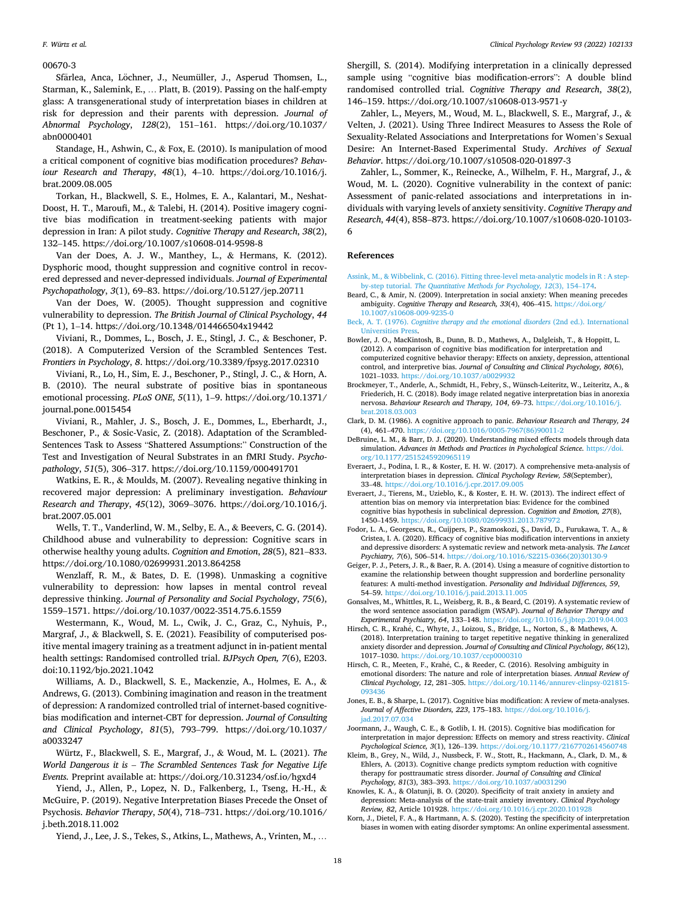### <span id="page-17-0"></span>00670-3

Sfärlea, Anca, Löchner, J., Neumüller, J., Asperud Thomsen, L., Starman, K., Salemink, E., … Platt, B. (2019). Passing on the half-empty glass: A transgenerational study of interpretation biases in children at risk for depression and their parents with depression. *Journal of Abnormal Psychology*, *128*(2), 151–161. https://doi.org/10.1037/ abn0000401

Standage, H., Ashwin, C., & Fox, E. (2010). Is manipulation of mood a critical component of cognitive bias modification procedures? *Behaviour Research and Therapy*, *48*(1), 4–10. https://doi.org/10.1016/j. brat.2009.08.005

Torkan, H., Blackwell, S. E., Holmes, E. A., Kalantari, M., Neshat-Doost, H. T., Maroufi, M., & Talebi, H. (2014). Positive imagery cognitive bias modification in treatment-seeking patients with major depression in Iran: A pilot study. *Cognitive Therapy and Research*, *38*(2), 132–145. https://doi.org/10.1007/s10608-014-9598-8

Van der Does, A. J. W., Manthey, L., & Hermans, K. (2012). Dysphoric mood, thought suppression and cognitive control in recovered depressed and never-depressed individuals. *Journal of Experimental Psychopathology*, *3*(1), 69–83. https://doi.org/10.5127/jep.20711

Van der Does, W. (2005). Thought suppression and cognitive vulnerability to depression. *The British Journal of Clinical Psychology*, *44*  (Pt 1), 1–14. https://doi.org/10.1348/014466504x19442

Viviani, R., Dommes, L., Bosch, J. E., Stingl, J. C., & Beschoner, P. (2018). A Computerized Version of the Scrambled Sentences Test. *Frontiers in Psychology*, *8*. https://doi.org/10.3389/fpsyg.2017.02310

Viviani, R., Lo, H., Sim, E. J., Beschoner, P., Stingl, J. C., & Horn, A. B. (2010). The neural substrate of positive bias in spontaneous emotional processing. *PLoS ONE*, *5*(11), 1–9. https://doi.org/10.1371/ journal.pone.0015454

Viviani, R., Mahler, J. S., Bosch, J. E., Dommes, L., Eberhardt, J., Beschoner, P., & Sosic-Vasic, Z. (2018). Adaptation of the Scrambled-Sentences Task to Assess "Shattered Assumptions:" Construction of the Test and Investigation of Neural Substrates in an fMRI Study. *Psychopathology*, *51*(5), 306–317. https://doi.org/10.1159/000491701

Watkins, E. R., & Moulds, M. (2007). Revealing negative thinking in recovered major depression: A preliminary investigation. *Behaviour Research and Therapy*, *45*(12), 3069–3076. https://doi.org/10.1016/j. brat.2007.05.001

Wells, T. T., Vanderlind, W. M., Selby, E. A., & Beevers, C. G. (2014). Childhood abuse and vulnerability to depression: Cognitive scars in otherwise healthy young adults. *Cognition and Emotion*, *28*(5), 821–833. https://doi.org/10.1080/02699931.2013.864258

Wenzlaff, R. M., & Bates, D. E. (1998). Unmasking a cognitive vulnerability to depression: how lapses in mental control reveal depressive thinking. *Journal of Personality and Social Psychology*, *75*(6), 1559–1571. https://doi.org/10.1037/0022-3514.75.6.1559

Westermann, K., Woud, M. L., Cwik, J. C., Graz, C., Nyhuis, P., Margraf, J., & Blackwell, S. E. (2021). Feasibility of computerised positive mental imagery training as a treatment adjunct in in-patient mental health settings: Randomised controlled trial. *BJPsych Open, 7*(6), E203. doi:10.1192/bjo.2021.1042

Williams, A. D., Blackwell, S. E., Mackenzie, A., Holmes, E. A., & Andrews, G. (2013). Combining imagination and reason in the treatment of depression: A randomized controlled trial of internet-based cognitivebias modification and internet-CBT for depression. *Journal of Consulting and Clinical Psychology*, *81*(5), 793–799. https://doi.org/10.1037/ a0033247

Würtz, F., Blackwell, S. E., Margraf, J., & Woud, M. L. (2021). *The World Dangerous it is* – *The Scrambled Sentences Task for Negative Life Events.* Preprint available at: https://doi.org/10.31234/osf.io/hgxd4

Yiend, J., Allen, P., Lopez, N. D., Falkenberg, I., Tseng, H.-H., & McGuire, P. (2019). Negative Interpretation Biases Precede the Onset of Psychosis. *Behavior Therapy*, *50*(4), 718–731. https://doi.org/10.1016/ j.beth.2018.11.002

Yiend, J., Lee, J. S., Tekes, S., Atkins, L., Mathews, A., Vrinten, M., …

Shergill, S. (2014). Modifying interpretation in a clinically depressed sample using "cognitive bias modification-errors": A double blind randomised controlled trial. *Cognitive Therapy and Research*, *38*(2), 146–159. https://doi.org/10.1007/s10608-013-9571-y

Zahler, L., Meyers, M., Woud, M. L., Blackwell, S. E., Margraf, J., & Velten, J. (2021). Using Three Indirect Measures to Assess the Role of Sexuality-Related Associations and Interpretations for Women's Sexual Desire: An Internet-Based Experimental Study. *Archives of Sexual Behavior*. https://doi.org/10.1007/s10508-020-01897-3

Zahler, L., Sommer, K., Reinecke, A., Wilhelm, F. H., Margraf, J., & Woud, M. L. (2020). Cognitive vulnerability in the context of panic: Assessment of panic-related associations and interpretations in individuals with varying levels of anxiety sensitivity. *Cognitive Therapy and Research*, *44*(4), 858–873. https://doi.org/10.1007/s10608-020-10103- 6

## **References**

- [Assink, M., & Wibbelink, C. \(2016\). Fitting three-level meta-analytic models in R : A step](http://refhub.elsevier.com/S0272-7358(22)00018-6/rf202202150255022986)by-step tutorial. *[The Quantitative Methods for Psychology, 12](http://refhub.elsevier.com/S0272-7358(22)00018-6/rf202202150255022986)*(3), 154–174.
- Beard, C., & Amir, N. (2009). Interpretation in social anxiety: When meaning precedes ambiguity. *Cognitive Therapy and Research, 33*(4), 406–415. [https://doi.org/](https://doi.org/10.1007/s10608-009-9235-0)  [10.1007/s10608-009-9235-0](https://doi.org/10.1007/s10608-009-9235-0)
- Beck, A. T. (1976). *[Cognitive therapy and the emotional disorders](http://refhub.elsevier.com/S0272-7358(22)00018-6/rf202202150255296283)* (2nd ed.). International [Universities Press](http://refhub.elsevier.com/S0272-7358(22)00018-6/rf202202150255296283).
- Bowler, J. O., MacKintosh, B., Dunn, B. D., Mathews, A., Dalgleish, T., & Hoppitt, L. (2012). A comparison of cognitive bias modification for interpretation and computerized cognitive behavior therapy: Effects on anxiety, depression, attentional control, and interpretive bias. *Journal of Consulting and Clinical Psychology, 80*(6), 1021–1033.<https://doi.org/10.1037/a0029932>
- Brockmeyer, T., Anderle, A., Schmidt, H., Febry, S., Wünsch-Leiteritz, W., Leiteritz, A., & Friederich, H. C. (2018). Body image related negative interpretation bias in anorexia nervosa. *Behaviour Research and Therapy, 104*, 69–73. [https://doi.org/10.1016/j.](https://doi.org/10.1016/j.brat.2018.03.003)  [brat.2018.03.003](https://doi.org/10.1016/j.brat.2018.03.003)
- Clark, D. M. (1986). A cognitive approach to panic. *Behaviour Research and Therapy, 24*  (4), 461–470. [https://doi.org/10.1016/0005-7967\(86\)90011-2](https://doi.org/10.1016/0005-7967(86)90011-2)
- DeBruine, L. M., & Barr, D. J. (2020). Understanding mixed effects models through data simulation. *Advances in Methods and Practices in Psychological Science*. [https://doi.](https://doi.org/10.1177/2515245920965119)  [org/10.1177/2515245920965119](https://doi.org/10.1177/2515245920965119)
- Everaert, J., Podina, I. R., & Koster, E. H. W. (2017). A comprehensive meta-analysis of interpretation biases in depression. *Clinical Psychology Review, 58*(September), 33–48. <https://doi.org/10.1016/j.cpr.2017.09.005>
- Everaert, J., Tierens, M., Uzieblo, K., & Koster, E. H. W. (2013). The indirect effect of attention bias on memory via interpretation bias: Evidence for the combined cognitive bias hypothesis in subclinical depression. *Cognition and Emotion, 27*(8), 1450–1459.<https://doi.org/10.1080/02699931.2013.787972>
- Fodor, L. A., Georgescu, R., Cuijpers, P., Szamoskozi, S¸ ., David, D., Furukawa, T. A., & Cristea, I. A. (2020). Efficacy of cognitive bias modification interventions in anxiety and depressive disorders: A systematic review and network meta-analysis. *The Lancet Psychiatry, 7*(6), 506–514. [https://doi.org/10.1016/S2215-0366\(20\)30130-9](https://doi.org/10.1016/S2215-0366(20)30130-9)
- Geiger, P. J., Peters, J. R., & Baer, R. A. (2014). Using a measure of cognitive distortion to examine the relationship between thought suppression and borderline personality features: A multi-method investigation. *Personality and Individual Differences, 59*, 54–59. <https://doi.org/10.1016/j.paid.2013.11.005>
- Gonsalves, M., Whittles, R. L., Weisberg, R. B., & Beard, C. (2019). A systematic review of the word sentence association paradigm (WSAP). *Journal of Behavior Therapy and Experimental Psychiatry, 64*, 133–148. <https://doi.org/10.1016/j.jbtep.2019.04.003>
- Hirsch, C. R., Krahé, C., Whyte, J., Loizou, S., Bridge, L., Norton, S., & Mathews, A. (2018). Interpretation training to target repetitive negative thinking in generalized anxiety disorder and depression. *Journal of Consulting and Clinical Psychology, 86*(12), 1017–1030.<https://doi.org/10.1037/ccp0000310>
- Hirsch, C. R., Meeten, F., Krahé, C., & Reeder, C. (2016). Resolving ambiguity in emotional disorders: The nature and role of interpretation biases. *Annual Review of Clinical Psychology, 12*, 281–305. [https://doi.org/10.1146/annurev-clinpsy-021815-](https://doi.org/10.1146/annurev-clinpsy-021815-093436)  [093436](https://doi.org/10.1146/annurev-clinpsy-021815-093436)
- Jones, E. B., & Sharpe, L. (2017). Cognitive bias modification: A review of meta-analyses. *Journal of Affective Disorders, 223*, 175–183. [https://doi.org/10.1016/j.](https://doi.org/10.1016/j.jad.2017.07.034) [jad.2017.07.034](https://doi.org/10.1016/j.jad.2017.07.034)
- Joormann, J., Waugh, C. E., & Gotlib, I. H. (2015). Cognitive bias modification for interpretation in major depression: Effects on memory and stress reactivity. *Clinical Psychological Science, 3*(1), 126–139. <https://doi.org/10.1177/2167702614560748>
- Kleim, B., Grey, N., Wild, J., Nussbeck, F. W., Stott, R., Hackmann, A., Clark, D. M., & Ehlers, A. (2013). Cognitive change predicts symptom reduction with cognitive therapy for posttraumatic stress disorder. *Journal of Consulting and Clinical Psychology, 81*(3), 383–393. <https://doi.org/10.1037/a0031290>
- Knowles, K. A., & Olatunji, B. O. (2020). Specificity of trait anxiety in anxiety and depression: Meta-analysis of the state-trait anxiety inventory. *Clinical Psychology Review, 82*, Article 101928. <https://doi.org/10.1016/j.cpr.2020.101928>
- Korn, J., Dietel, F. A., & Hartmann, A. S. (2020). Testing the specificity of interpretation biases in women with eating disorder symptoms: An online experimental assessment.